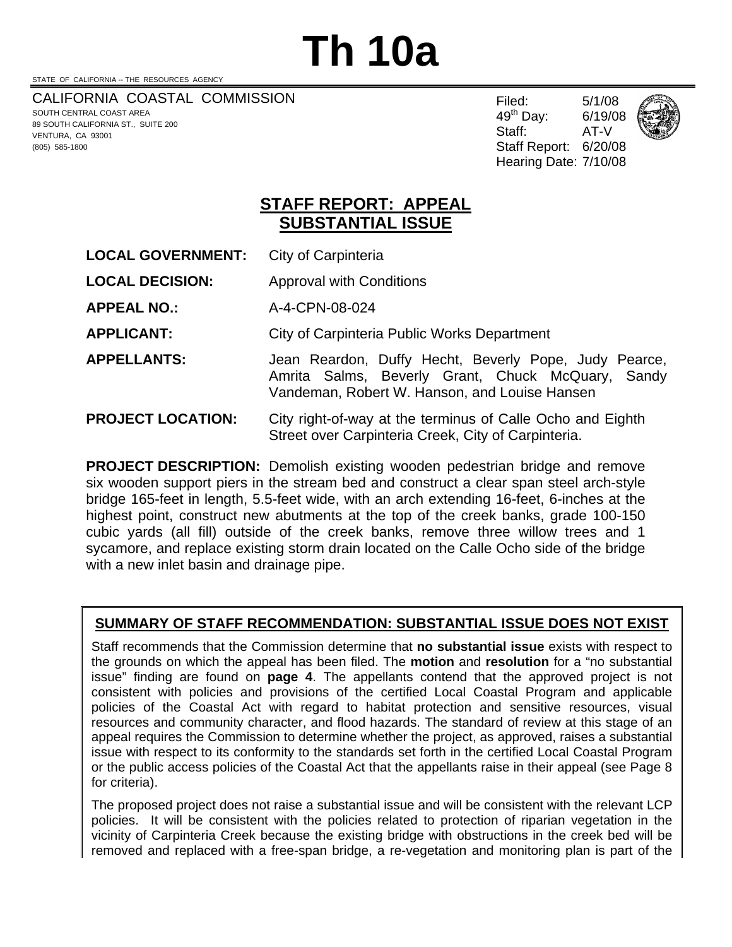# **Th 10a**

STATE OF CALIFORNIA -- THE RESOURCES AGENCY

(805) 585-1800

CALIFORNIA COASTAL COMMISSION SOUTH CENTRAL COAST AREA 89 SOUTH CALIFORNIA ST., SUITE 200 VENTURA, CA 93001

Filed: 5/1/08 49th Day: 6/19/08 Staff: AT-V Staff Report: 6/20/08 Hearing Date: 7/10/08



**STAFF REPORT: APPEAL SUBSTANTIAL ISSUE**

- **LOCAL GOVERNMENT:** City of Carpinteria
- **LOCAL DECISION:** Approval with Conditions
- **APPEAL NO.:** A-4-CPN-08-024
- **APPLICANT:** City of Carpinteria Public Works Department
- **APPELLANTS:** Jean Reardon, Duffy Hecht, Beverly Pope, Judy Pearce, Amrita Salms, Beverly Grant, Chuck McQuary, Sandy Vandeman, Robert W. Hanson, and Louise Hansen

# **PROJECT LOCATION:** City right-of-way at the terminus of Calle Ocho and Eighth Street over Carpinteria Creek, City of Carpinteria.

**PROJECT DESCRIPTION:** Demolish existing wooden pedestrian bridge and remove six wooden support piers in the stream bed and construct a clear span steel arch-style bridge 165-feet in length, 5.5-feet wide, with an arch extending 16-feet, 6-inches at the highest point, construct new abutments at the top of the creek banks, grade 100-150 cubic yards (all fill) outside of the creek banks, remove three willow trees and 1 sycamore, and replace existing storm drain located on the Calle Ocho side of the bridge with a new inlet basin and drainage pipe.

# **SUMMARY OF STAFF RECOMMENDATION: SUBSTANTIAL ISSUE DOES NOT EXIST**

Staff recommends that the Commission determine that **no substantial issue** exists with respect to the grounds on which the appeal has been filed. The **motion** and **resolution** for a "no substantial issue" finding are found on **page 4**. The appellants contend that the approved project is not consistent with policies and provisions of the certified Local Coastal Program and applicable policies of the Coastal Act with regard to habitat protection and sensitive resources, visual resources and community character, and flood hazards. The standard of review at this stage of an appeal requires the Commission to determine whether the project, as approved, raises a substantial issue with respect to its conformity to the standards set forth in the certified Local Coastal Program or the public access policies of the Coastal Act that the appellants raise in their appeal (see Page 8 for criteria).

The proposed project does not raise a substantial issue and will be consistent with the relevant LCP policies. It will be consistent with the policies related to protection of riparian vegetation in the vicinity of Carpinteria Creek because the existing bridge with obstructions in the creek bed will be removed and replaced with a free-span bridge, a re-vegetation and monitoring plan is part of the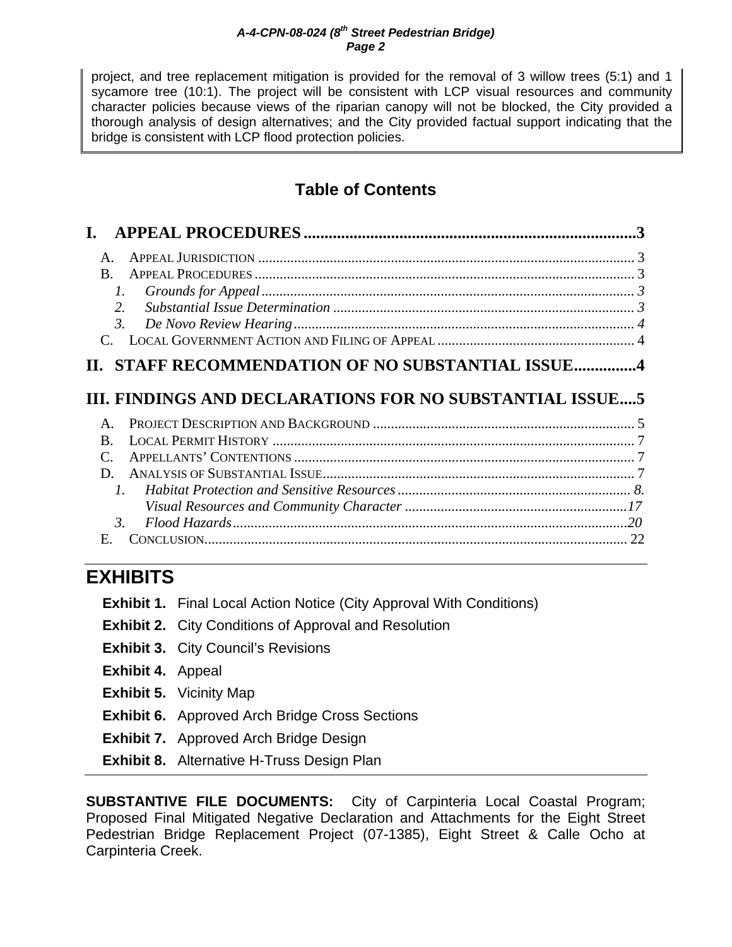project, and tree replacement mitigation is provided for the removal of 3 willow trees (5:1) and 1 sycamore tree (10:1). The project will be consistent with LCP visual resources and community character policies because views of the riparian canopy will not be blocked, the City provided a thorough analysis of design alternatives; and the City provided factual support indicating that the bridge is consistent with LCP flood protection policies.

# **Table of Contents**

| $\mathsf{A}$                                             |     |
|----------------------------------------------------------|-----|
| B.                                                       |     |
| Ι.                                                       |     |
| 2.                                                       |     |
| $\mathfrak{Z}$ .                                         |     |
|                                                          |     |
| II. STAFF RECOMMENDATION OF NO SUBSTANTIAL ISSUE4        |     |
|                                                          |     |
| III. FINDINGS AND DECLARATIONS FOR NO SUBSTANTIAL ISSUE5 |     |
| $\mathsf{A}$ .                                           |     |
| B.                                                       |     |
|                                                          |     |
| D.                                                       |     |
| $l_{\cdot}$                                              |     |
|                                                          |     |
| $\mathcal{R}$                                            | .20 |
| E.                                                       |     |
|                                                          |     |

# **EXHIBITS**

|                          | <b>Exhibit 1.</b> Final Local Action Notice (City Approval With Conditions) |
|--------------------------|-----------------------------------------------------------------------------|
|                          | <b>Exhibit 2.</b> City Conditions of Approval and Resolution                |
|                          | <b>Exhibit 3. City Council's Revisions</b>                                  |
| <b>Exhibit 4.</b> Appeal |                                                                             |
|                          | <b>Exhibit 5.</b> Vicinity Map                                              |
|                          | <b>Exhibit 6.</b> Approved Arch Bridge Cross Sections                       |
|                          | <b>Exhibit 7.</b> Approved Arch Bridge Design                               |
|                          | <b>Exhibit 8.</b> Alternative H-Truss Design Plan                           |

**SUBSTANTIVE FILE DOCUMENTS:** City of Carpinteria Local Coastal Program; Proposed Final Mitigated Negative Declaration and Attachments for the Eight Street Pedestrian Bridge Replacement Project (07-1385), Eight Street & Calle Ocho at Carpinteria Creek.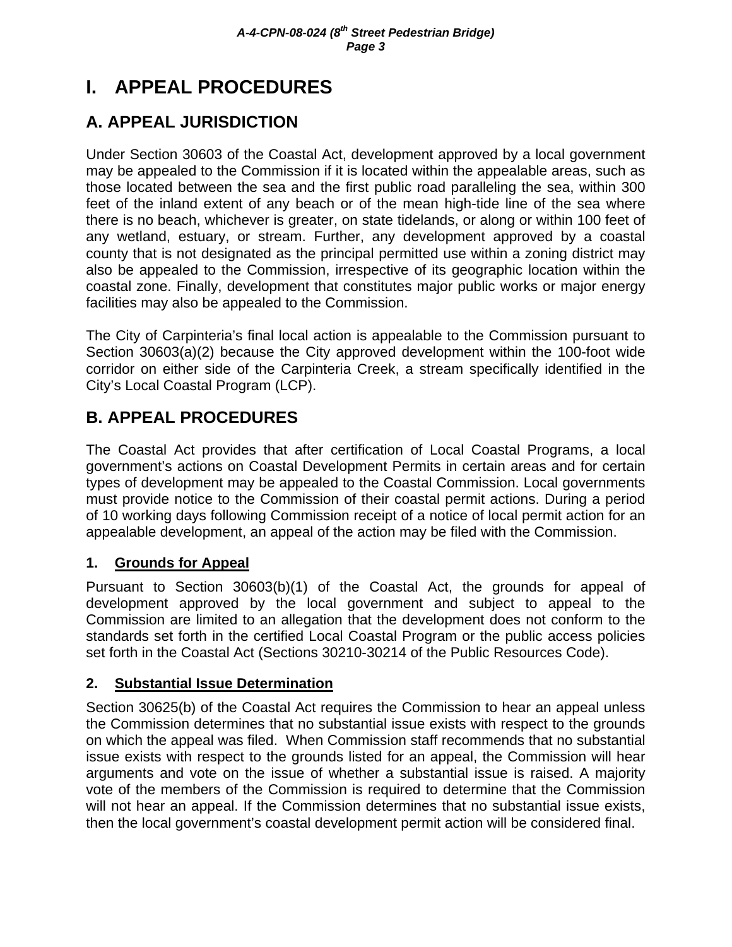# **I. APPEAL PROCEDURES**

# **A. APPEAL JURISDICTION**

Under Section 30603 of the Coastal Act, development approved by a local government may be appealed to the Commission if it is located within the appealable areas, such as those located between the sea and the first public road paralleling the sea, within 300 feet of the inland extent of any beach or of the mean high-tide line of the sea where there is no beach, whichever is greater, on state tidelands, or along or within 100 feet of any wetland, estuary, or stream. Further, any development approved by a coastal county that is not designated as the principal permitted use within a zoning district may also be appealed to the Commission, irrespective of its geographic location within the coastal zone. Finally, development that constitutes major public works or major energy facilities may also be appealed to the Commission.

The City of Carpinteria's final local action is appealable to the Commission pursuant to Section 30603(a)(2) because the City approved development within the 100-foot wide corridor on either side of the Carpinteria Creek, a stream specifically identified in the City's Local Coastal Program (LCP).

# **B. APPEAL PROCEDURES**

The Coastal Act provides that after certification of Local Coastal Programs, a local government's actions on Coastal Development Permits in certain areas and for certain types of development may be appealed to the Coastal Commission. Local governments must provide notice to the Commission of their coastal permit actions. During a period of 10 working days following Commission receipt of a notice of local permit action for an appealable development, an appeal of the action may be filed with the Commission.

# **1. Grounds for Appeal**

Pursuant to Section 30603(b)(1) of the Coastal Act, the grounds for appeal of development approved by the local government and subject to appeal to the Commission are limited to an allegation that the development does not conform to the standards set forth in the certified Local Coastal Program or the public access policies set forth in the Coastal Act (Sections 30210-30214 of the Public Resources Code).

# **2. Substantial Issue Determination**

Section 30625(b) of the Coastal Act requires the Commission to hear an appeal unless the Commission determines that no substantial issue exists with respect to the grounds on which the appeal was filed. When Commission staff recommends that no substantial issue exists with respect to the grounds listed for an appeal, the Commission will hear arguments and vote on the issue of whether a substantial issue is raised. A majority vote of the members of the Commission is required to determine that the Commission will not hear an appeal. If the Commission determines that no substantial issue exists, then the local government's coastal development permit action will be considered final.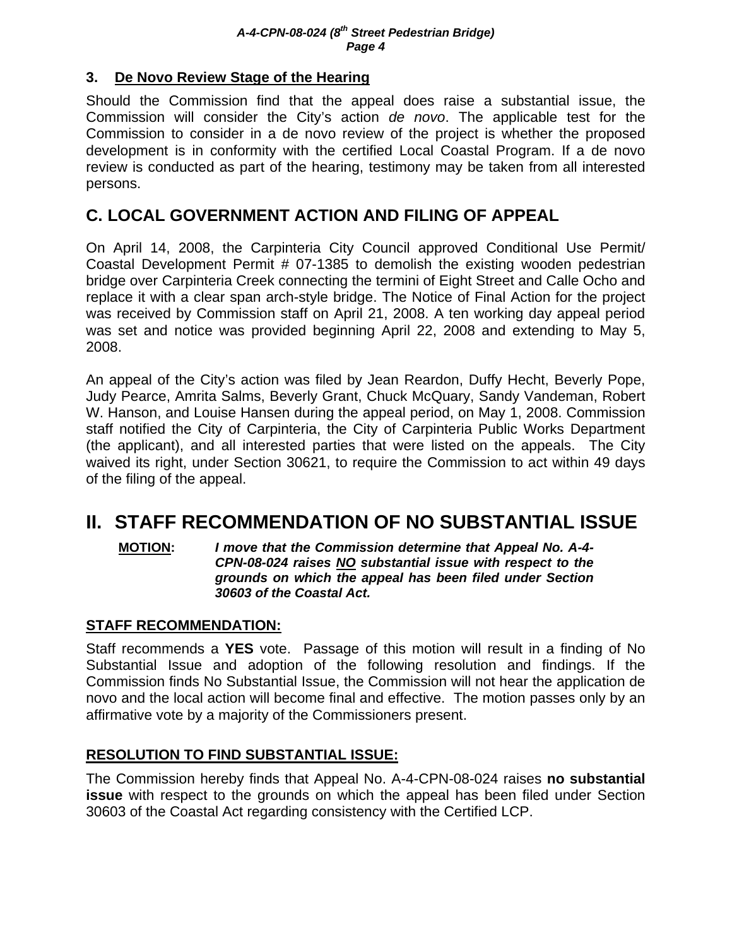# **3. De Novo Review Stage of the Hearing**

Should the Commission find that the appeal does raise a substantial issue, the Commission will consider the City's action *de novo*. The applicable test for the Commission to consider in a de novo review of the project is whether the proposed development is in conformity with the certified Local Coastal Program. If a de novo review is conducted as part of the hearing, testimony may be taken from all interested persons.

# **C. LOCAL GOVERNMENT ACTION AND FILING OF APPEAL**

On April 14, 2008, the Carpinteria City Council approved Conditional Use Permit/ Coastal Development Permit # 07-1385 to demolish the existing wooden pedestrian bridge over Carpinteria Creek connecting the termini of Eight Street and Calle Ocho and replace it with a clear span arch-style bridge. The Notice of Final Action for the project was received by Commission staff on April 21, 2008. A ten working day appeal period was set and notice was provided beginning April 22, 2008 and extending to May 5, 2008.

An appeal of the City's action was filed by Jean Reardon, Duffy Hecht, Beverly Pope, Judy Pearce, Amrita Salms, Beverly Grant, Chuck McQuary, Sandy Vandeman, Robert W. Hanson, and Louise Hansen during the appeal period, on May 1, 2008. Commission staff notified the City of Carpinteria, the City of Carpinteria Public Works Department (the applicant), and all interested parties that were listed on the appeals. The City waived its right, under Section 30621, to require the Commission to act within 49 days of the filing of the appeal.

# **II. STAFF RECOMMENDATION OF NO SUBSTANTIAL ISSUE**

**MOTION:** *I move that the Commission determine that Appeal No. A-4- CPN-08-024 raises NO substantial issue with respect to the grounds on which the appeal has been filed under Section 30603 of the Coastal Act.*

# **STAFF RECOMMENDATION:**

Staff recommends a **YES** vote. Passage of this motion will result in a finding of No Substantial Issue and adoption of the following resolution and findings. If the Commission finds No Substantial Issue, the Commission will not hear the application de novo and the local action will become final and effective. The motion passes only by an affirmative vote by a majority of the Commissioners present.

# **RESOLUTION TO FIND SUBSTANTIAL ISSUE:**

The Commission hereby finds that Appeal No. A-4-CPN-08-024 raises **no substantial issue** with respect to the grounds on which the appeal has been filed under Section 30603 of the Coastal Act regarding consistency with the Certified LCP.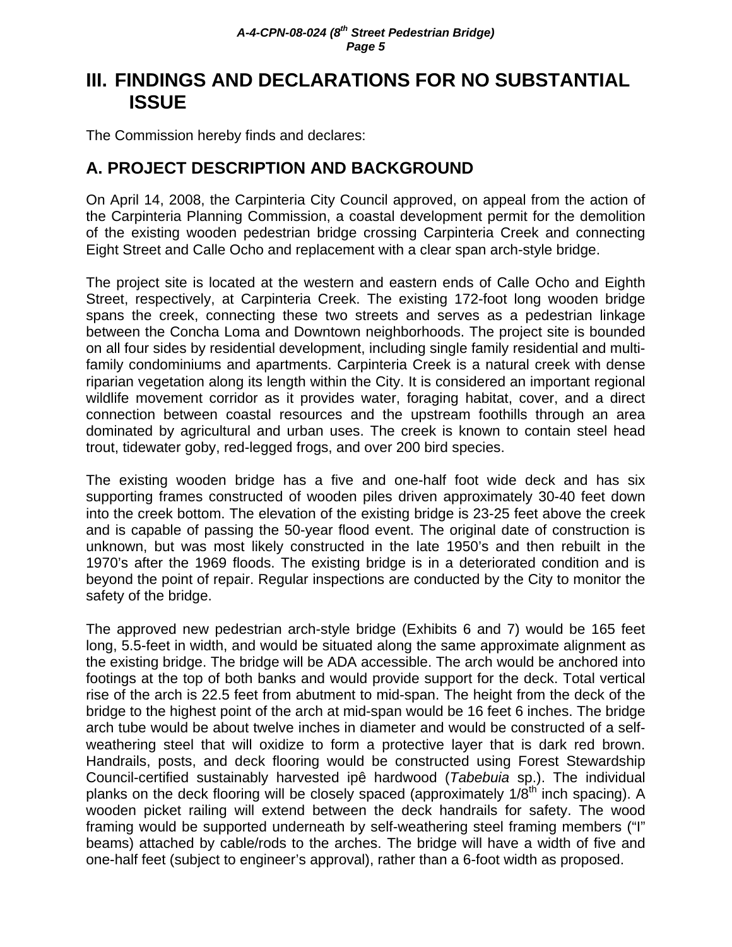# **III. FINDINGS AND DECLARATIONS FOR NO SUBSTANTIAL ISSUE**

The Commission hereby finds and declares:

# **A. PROJECT DESCRIPTION AND BACKGROUND**

On April 14, 2008, the Carpinteria City Council approved, on appeal from the action of the Carpinteria Planning Commission, a coastal development permit for the demolition of the existing wooden pedestrian bridge crossing Carpinteria Creek and connecting Eight Street and Calle Ocho and replacement with a clear span arch-style bridge.

The project site is located at the western and eastern ends of Calle Ocho and Eighth Street, respectively, at Carpinteria Creek. The existing 172-foot long wooden bridge spans the creek, connecting these two streets and serves as a pedestrian linkage between the Concha Loma and Downtown neighborhoods. The project site is bounded on all four sides by residential development, including single family residential and multifamily condominiums and apartments. Carpinteria Creek is a natural creek with dense riparian vegetation along its length within the City. It is considered an important regional wildlife movement corridor as it provides water, foraging habitat, cover, and a direct connection between coastal resources and the upstream foothills through an area dominated by agricultural and urban uses. The creek is known to contain steel head trout, tidewater goby, red-legged frogs, and over 200 bird species.

The existing wooden bridge has a five and one-half foot wide deck and has six supporting frames constructed of wooden piles driven approximately 30-40 feet down into the creek bottom. The elevation of the existing bridge is 23-25 feet above the creek and is capable of passing the 50-year flood event. The original date of construction is unknown, but was most likely constructed in the late 1950's and then rebuilt in the 1970's after the 1969 floods. The existing bridge is in a deteriorated condition and is beyond the point of repair. Regular inspections are conducted by the City to monitor the safety of the bridge.

The approved new pedestrian arch-style bridge (Exhibits 6 and 7) would be 165 feet long, 5.5-feet in width, and would be situated along the same approximate alignment as the existing bridge. The bridge will be ADA accessible. The arch would be anchored into footings at the top of both banks and would provide support for the deck. Total vertical rise of the arch is 22.5 feet from abutment to mid-span. The height from the deck of the bridge to the highest point of the arch at mid-span would be 16 feet 6 inches. The bridge arch tube would be about twelve inches in diameter and would be constructed of a selfweathering steel that will oxidize to form a protective layer that is dark red brown. Handrails, posts, and deck flooring would be constructed using Forest Stewardship Council-certified sustainably harvested ipê hardwood (*Tabebuia* sp.). The individual planks on the deck flooring will be closely spaced (approximately  $1/8<sup>th</sup>$  inch spacing). A wooden picket railing will extend between the deck handrails for safety. The wood framing would be supported underneath by self-weathering steel framing members ("I" beams) attached by cable/rods to the arches. The bridge will have a width of five and one-half feet (subject to engineer's approval), rather than a 6-foot width as proposed.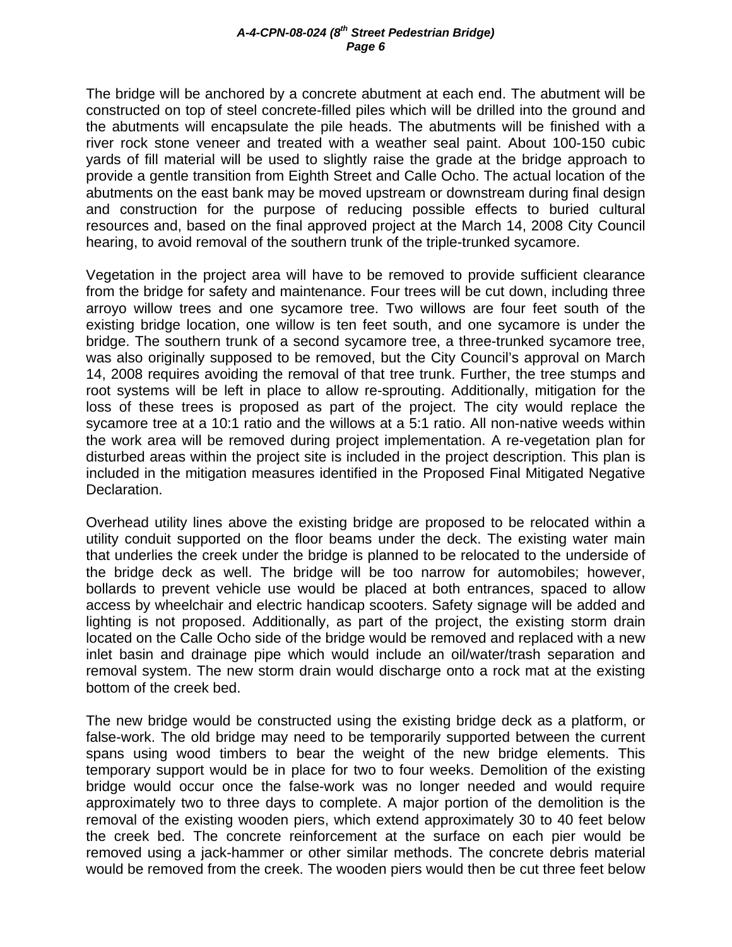The bridge will be anchored by a concrete abutment at each end. The abutment will be constructed on top of steel concrete-filled piles which will be drilled into the ground and the abutments will encapsulate the pile heads. The abutments will be finished with a river rock stone veneer and treated with a weather seal paint. About 100-150 cubic yards of fill material will be used to slightly raise the grade at the bridge approach to provide a gentle transition from Eighth Street and Calle Ocho. The actual location of the abutments on the east bank may be moved upstream or downstream during final design and construction for the purpose of reducing possible effects to buried cultural resources and, based on the final approved project at the March 14, 2008 City Council hearing, to avoid removal of the southern trunk of the triple-trunked sycamore.

Vegetation in the project area will have to be removed to provide sufficient clearance from the bridge for safety and maintenance. Four trees will be cut down, including three arroyo willow trees and one sycamore tree. Two willows are four feet south of the existing bridge location, one willow is ten feet south, and one sycamore is under the bridge. The southern trunk of a second sycamore tree, a three-trunked sycamore tree, was also originally supposed to be removed, but the City Council's approval on March 14, 2008 requires avoiding the removal of that tree trunk. Further, the tree stumps and root systems will be left in place to allow re-sprouting. Additionally, mitigation for the loss of these trees is proposed as part of the project. The city would replace the sycamore tree at a 10:1 ratio and the willows at a 5:1 ratio. All non-native weeds within the work area will be removed during project implementation. A re-vegetation plan for disturbed areas within the project site is included in the project description. This plan is included in the mitigation measures identified in the Proposed Final Mitigated Negative Declaration.

Overhead utility lines above the existing bridge are proposed to be relocated within a utility conduit supported on the floor beams under the deck. The existing water main that underlies the creek under the bridge is planned to be relocated to the underside of the bridge deck as well. The bridge will be too narrow for automobiles; however, bollards to prevent vehicle use would be placed at both entrances, spaced to allow access by wheelchair and electric handicap scooters. Safety signage will be added and lighting is not proposed. Additionally, as part of the project, the existing storm drain located on the Calle Ocho side of the bridge would be removed and replaced with a new inlet basin and drainage pipe which would include an oil/water/trash separation and removal system. The new storm drain would discharge onto a rock mat at the existing bottom of the creek bed.

The new bridge would be constructed using the existing bridge deck as a platform, or false-work. The old bridge may need to be temporarily supported between the current spans using wood timbers to bear the weight of the new bridge elements. This temporary support would be in place for two to four weeks. Demolition of the existing bridge would occur once the false-work was no longer needed and would require approximately two to three days to complete. A major portion of the demolition is the removal of the existing wooden piers, which extend approximately 30 to 40 feet below the creek bed. The concrete reinforcement at the surface on each pier would be removed using a jack-hammer or other similar methods. The concrete debris material would be removed from the creek. The wooden piers would then be cut three feet below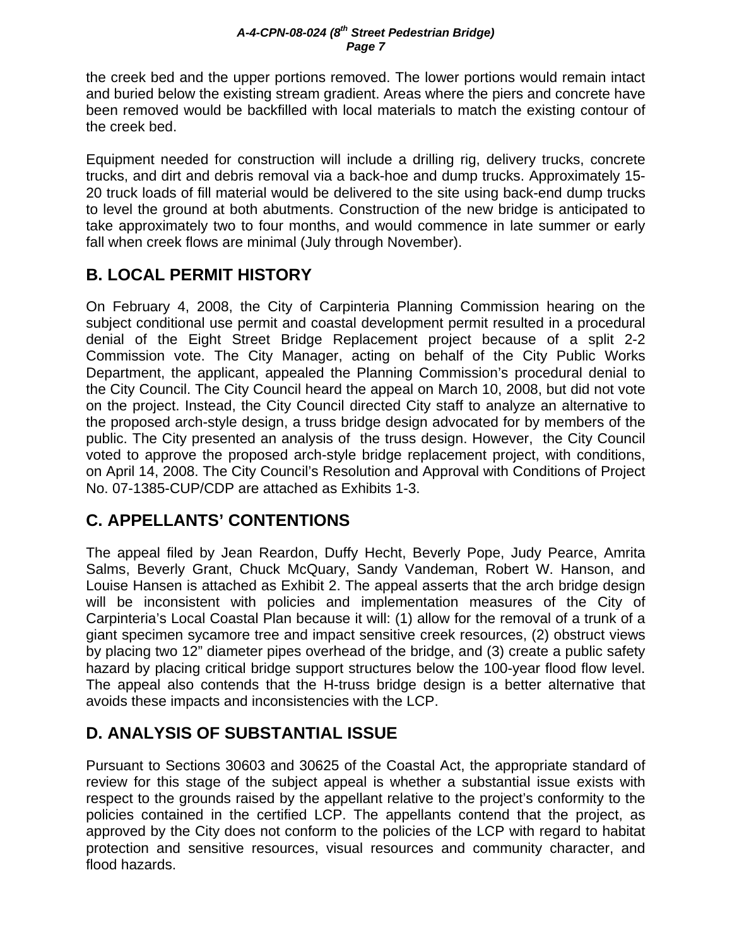the creek bed and the upper portions removed. The lower portions would remain intact and buried below the existing stream gradient. Areas where the piers and concrete have been removed would be backfilled with local materials to match the existing contour of the creek bed.

Equipment needed for construction will include a drilling rig, delivery trucks, concrete trucks, and dirt and debris removal via a back-hoe and dump trucks. Approximately 15- 20 truck loads of fill material would be delivered to the site using back-end dump trucks to level the ground at both abutments. Construction of the new bridge is anticipated to take approximately two to four months, and would commence in late summer or early fall when creek flows are minimal (July through November).

# **B. LOCAL PERMIT HISTORY**

On February 4, 2008, the City of Carpinteria Planning Commission hearing on the subject conditional use permit and coastal development permit resulted in a procedural denial of the Eight Street Bridge Replacement project because of a split 2-2 Commission vote. The City Manager, acting on behalf of the City Public Works Department, the applicant, appealed the Planning Commission's procedural denial to the City Council. The City Council heard the appeal on March 10, 2008, but did not vote on the project. Instead, the City Council directed City staff to analyze an alternative to the proposed arch-style design, a truss bridge design advocated for by members of the public. The City presented an analysis of the truss design. However, the City Council voted to approve the proposed arch-style bridge replacement project, with conditions, on April 14, 2008. The City Council's Resolution and Approval with Conditions of Project No. 07-1385-CUP/CDP are attached as Exhibits 1-3.

# **C. APPELLANTS' CONTENTIONS**

The appeal filed by Jean Reardon, Duffy Hecht, Beverly Pope, Judy Pearce, Amrita Salms, Beverly Grant, Chuck McQuary, Sandy Vandeman, Robert W. Hanson, and Louise Hansen is attached as Exhibit 2. The appeal asserts that the arch bridge design will be inconsistent with policies and implementation measures of the City of Carpinteria's Local Coastal Plan because it will: (1) allow for the removal of a trunk of a giant specimen sycamore tree and impact sensitive creek resources, (2) obstruct views by placing two 12" diameter pipes overhead of the bridge, and (3) create a public safety hazard by placing critical bridge support structures below the 100-year flood flow level. The appeal also contends that the H-truss bridge design is a better alternative that avoids these impacts and inconsistencies with the LCP.

# **D. ANALYSIS OF SUBSTANTIAL ISSUE**

Pursuant to Sections 30603 and 30625 of the Coastal Act, the appropriate standard of review for this stage of the subject appeal is whether a substantial issue exists with respect to the grounds raised by the appellant relative to the project's conformity to the policies contained in the certified LCP. The appellants contend that the project, as approved by the City does not conform to the policies of the LCP with regard to habitat protection and sensitive resources, visual resources and community character, and flood hazards.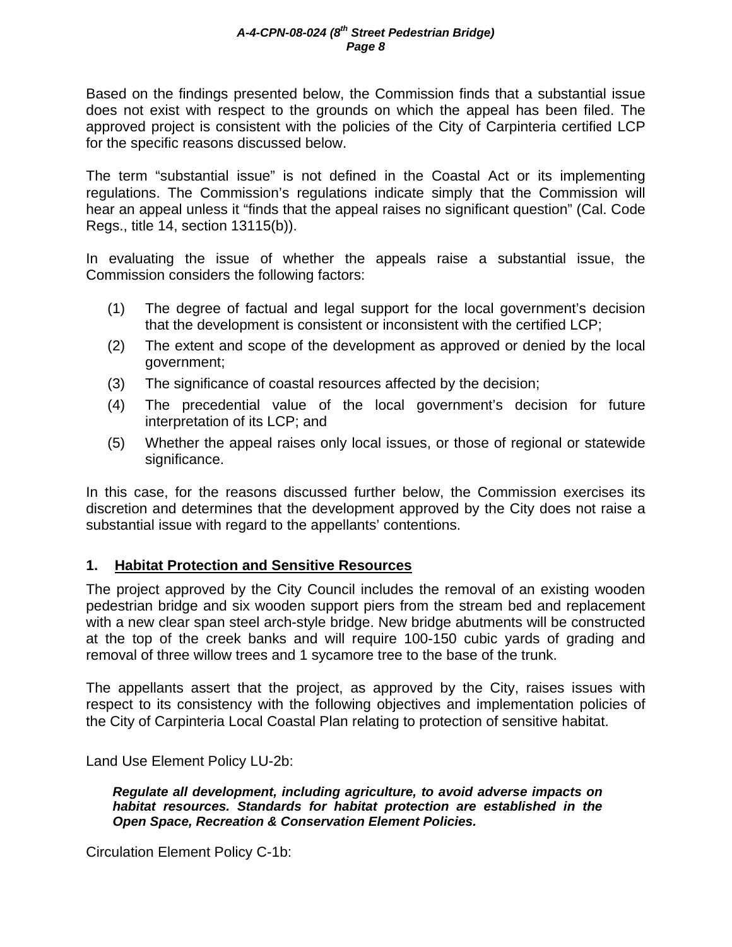Based on the findings presented below, the Commission finds that a substantial issue does not exist with respect to the grounds on which the appeal has been filed. The approved project is consistent with the policies of the City of Carpinteria certified LCP for the specific reasons discussed below.

The term "substantial issue" is not defined in the Coastal Act or its implementing regulations. The Commission's regulations indicate simply that the Commission will hear an appeal unless it "finds that the appeal raises no significant question" (Cal. Code Regs., title 14, section 13115(b)).

In evaluating the issue of whether the appeals raise a substantial issue, the Commission considers the following factors:

- (1) The degree of factual and legal support for the local government's decision that the development is consistent or inconsistent with the certified LCP;
- (2) The extent and scope of the development as approved or denied by the local government;
- (3) The significance of coastal resources affected by the decision;
- (4) The precedential value of the local government's decision for future interpretation of its LCP; and
- (5) Whether the appeal raises only local issues, or those of regional or statewide significance.

In this case, for the reasons discussed further below, the Commission exercises its discretion and determines that the development approved by the City does not raise a substantial issue with regard to the appellants' contentions.

# **1. Habitat Protection and Sensitive Resources**

The project approved by the City Council includes the removal of an existing wooden pedestrian bridge and six wooden support piers from the stream bed and replacement with a new clear span steel arch-style bridge. New bridge abutments will be constructed at the top of the creek banks and will require 100-150 cubic yards of grading and removal of three willow trees and 1 sycamore tree to the base of the trunk.

The appellants assert that the project, as approved by the City, raises issues with respect to its consistency with the following objectives and implementation policies of the City of Carpinteria Local Coastal Plan relating to protection of sensitive habitat.

Land Use Element Policy LU-2b:

*Regulate all development, including agriculture, to avoid adverse impacts on habitat resources. Standards for habitat protection are established in the Open Space, Recreation & Conservation Element Policies.* 

Circulation Element Policy C-1b: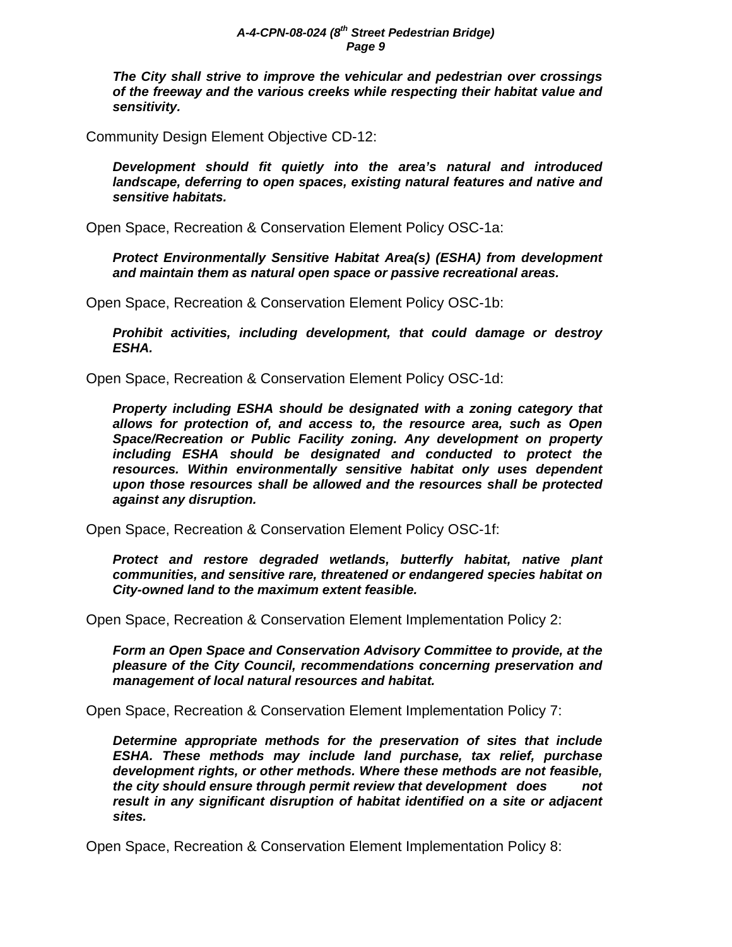*The City shall strive to improve the vehicular and pedestrian over crossings of the freeway and the various creeks while respecting their habitat value and sensitivity.* 

Community Design Element Objective CD-12:

*Development should fit quietly into the area's natural and introduced landscape, deferring to open spaces, existing natural features and native and sensitive habitats.* 

Open Space, Recreation & Conservation Element Policy OSC-1a:

*Protect Environmentally Sensitive Habitat Area(s) (ESHA) from development and maintain them as natural open space or passive recreational areas.* 

Open Space, Recreation & Conservation Element Policy OSC-1b:

*Prohibit activities, including development, that could damage or destroy ESHA.* 

Open Space, Recreation & Conservation Element Policy OSC-1d:

*Property including ESHA should be designated with a zoning category that allows for protection of, and access to, the resource area, such as Open Space/Recreation or Public Facility zoning. Any development on property including ESHA should be designated and conducted to protect the resources. Within environmentally sensitive habitat only uses dependent upon those resources shall be allowed and the resources shall be protected against any disruption.* 

Open Space, Recreation & Conservation Element Policy OSC-1f:

*Protect and restore degraded wetlands, butterfly habitat, native plant communities, and sensitive rare, threatened or endangered species habitat on City-owned land to the maximum extent feasible.* 

Open Space, Recreation & Conservation Element Implementation Policy 2:

*Form an Open Space and Conservation Advisory Committee to provide, at the pleasure of the City Council, recommendations concerning preservation and management of local natural resources and habitat.* 

Open Space, Recreation & Conservation Element Implementation Policy 7:

*Determine appropriate methods for the preservation of sites that include ESHA. These methods may include land purchase, tax relief, purchase development rights, or other methods. Where these methods are not feasible, the city should ensure through permit review that development does not result in any significant disruption of habitat identified on a site or adjacent sites.* 

Open Space, Recreation & Conservation Element Implementation Policy 8: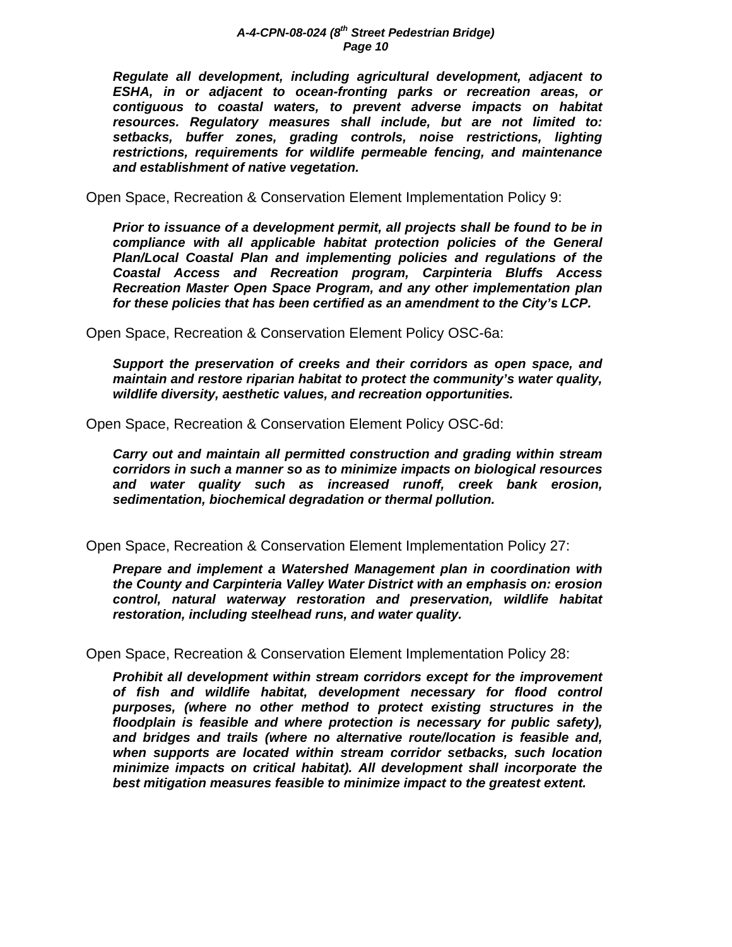*Regulate all development, including agricultural development, adjacent to ESHA, in or adjacent to ocean-fronting parks or recreation areas, or contiguous to coastal waters, to prevent adverse impacts on habitat resources. Regulatory measures shall include, but are not limited to: setbacks, buffer zones, grading controls, noise restrictions, lighting restrictions, requirements for wildlife permeable fencing, and maintenance and establishment of native vegetation.* 

Open Space, Recreation & Conservation Element Implementation Policy 9:

*Prior to issuance of a development permit, all projects shall be found to be in compliance with all applicable habitat protection policies of the General Plan/Local Coastal Plan and implementing policies and regulations of the Coastal Access and Recreation program, Carpinteria Bluffs Access Recreation Master Open Space Program, and any other implementation plan for these policies that has been certified as an amendment to the City's LCP.* 

Open Space, Recreation & Conservation Element Policy OSC-6a:

*Support the preservation of creeks and their corridors as open space, and maintain and restore riparian habitat to protect the community's water quality, wildlife diversity, aesthetic values, and recreation opportunities.* 

Open Space, Recreation & Conservation Element Policy OSC-6d:

*Carry out and maintain all permitted construction and grading within stream corridors in such a manner so as to minimize impacts on biological resources and water quality such as increased runoff, creek bank erosion, sedimentation, biochemical degradation or thermal pollution.*

Open Space, Recreation & Conservation Element Implementation Policy 27:

*Prepare and implement a Watershed Management plan in coordination with the County and Carpinteria Valley Water District with an emphasis on: erosion control, natural waterway restoration and preservation, wildlife habitat restoration, including steelhead runs, and water quality.* 

Open Space, Recreation & Conservation Element Implementation Policy 28:

*Prohibit all development within stream corridors except for the improvement of fish and wildlife habitat, development necessary for flood control purposes, (where no other method to protect existing structures in the floodplain is feasible and where protection is necessary for public safety), and bridges and trails (where no alternative route/location is feasible and, when supports are located within stream corridor setbacks, such location minimize impacts on critical habitat). All development shall incorporate the best mitigation measures feasible to minimize impact to the greatest extent.*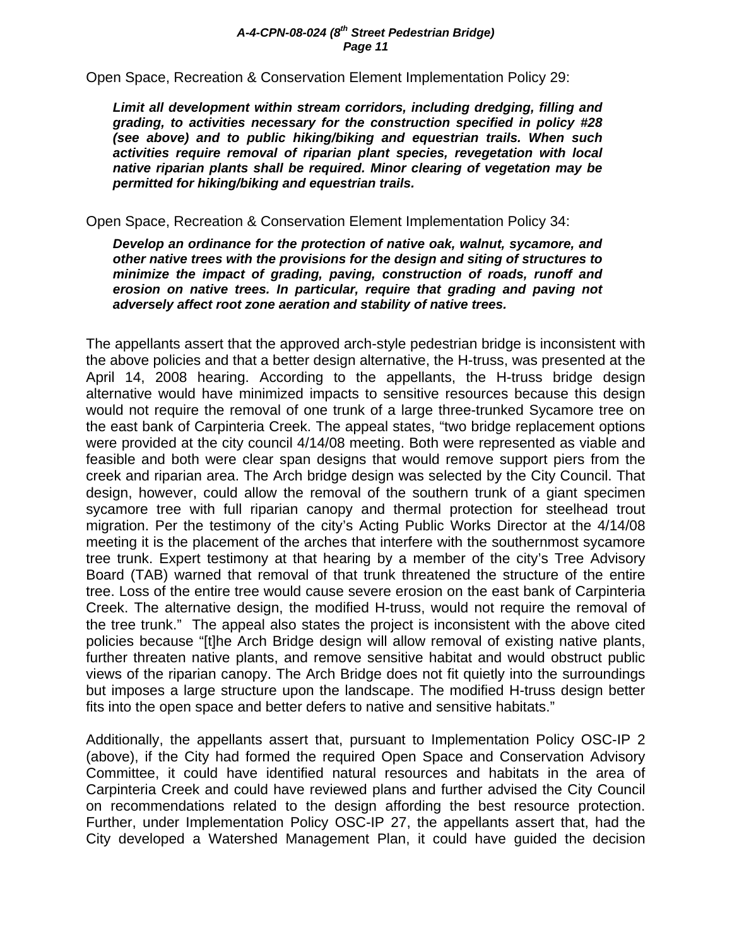Open Space, Recreation & Conservation Element Implementation Policy 29:

*Limit all development within stream corridors, including dredging, filling and grading, to activities necessary for the construction specified in policy #28 (see above) and to public hiking/biking and equestrian trails. When such activities require removal of riparian plant species, revegetation with local native riparian plants shall be required. Minor clearing of vegetation may be permitted for hiking/biking and equestrian trails.* 

# Open Space, Recreation & Conservation Element Implementation Policy 34:

*Develop an ordinance for the protection of native oak, walnut, sycamore, and other native trees with the provisions for the design and siting of structures to minimize the impact of grading, paving, construction of roads, runoff and erosion on native trees. In particular, require that grading and paving not adversely affect root zone aeration and stability of native trees.* 

The appellants assert that the approved arch-style pedestrian bridge is inconsistent with the above policies and that a better design alternative, the H-truss, was presented at the April 14, 2008 hearing. According to the appellants, the H-truss bridge design alternative would have minimized impacts to sensitive resources because this design would not require the removal of one trunk of a large three-trunked Sycamore tree on the east bank of Carpinteria Creek. The appeal states, "two bridge replacement options were provided at the city council 4/14/08 meeting. Both were represented as viable and feasible and both were clear span designs that would remove support piers from the creek and riparian area. The Arch bridge design was selected by the City Council. That design, however, could allow the removal of the southern trunk of a giant specimen sycamore tree with full riparian canopy and thermal protection for steelhead trout migration. Per the testimony of the city's Acting Public Works Director at the 4/14/08 meeting it is the placement of the arches that interfere with the southernmost sycamore tree trunk. Expert testimony at that hearing by a member of the city's Tree Advisory Board (TAB) warned that removal of that trunk threatened the structure of the entire tree. Loss of the entire tree would cause severe erosion on the east bank of Carpinteria Creek. The alternative design, the modified H-truss, would not require the removal of the tree trunk." The appeal also states the project is inconsistent with the above cited policies because "[t]he Arch Bridge design will allow removal of existing native plants, further threaten native plants, and remove sensitive habitat and would obstruct public views of the riparian canopy. The Arch Bridge does not fit quietly into the surroundings but imposes a large structure upon the landscape. The modified H-truss design better fits into the open space and better defers to native and sensitive habitats."

Additionally, the appellants assert that, pursuant to Implementation Policy OSC-IP 2 (above), if the City had formed the required Open Space and Conservation Advisory Committee, it could have identified natural resources and habitats in the area of Carpinteria Creek and could have reviewed plans and further advised the City Council on recommendations related to the design affording the best resource protection. Further, under Implementation Policy OSC-IP 27, the appellants assert that, had the City developed a Watershed Management Plan, it could have guided the decision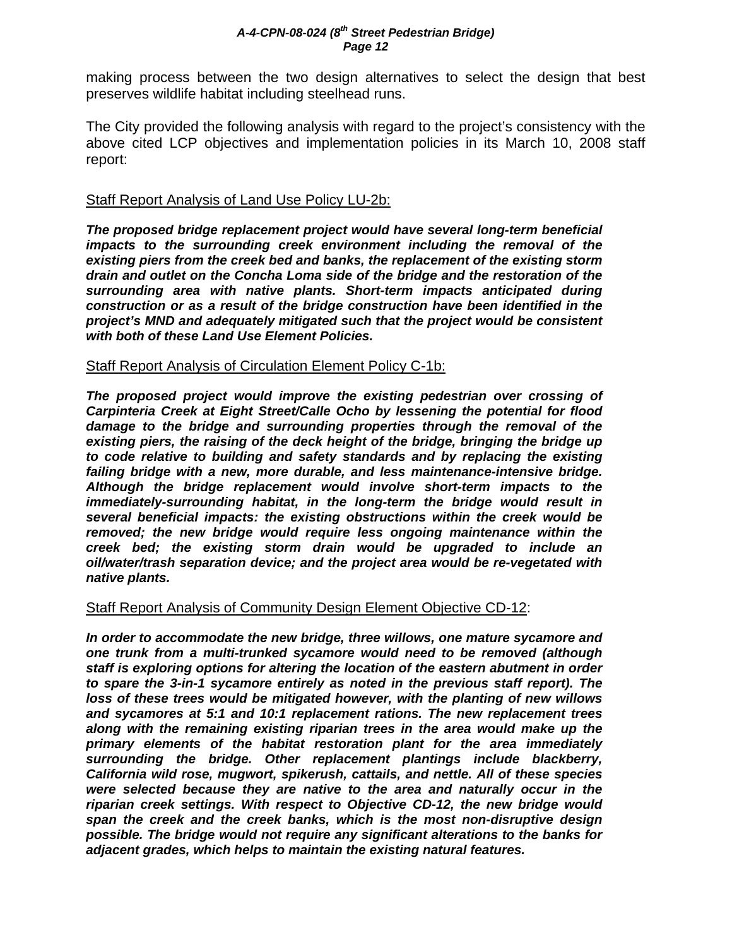making process between the two design alternatives to select the design that best preserves wildlife habitat including steelhead runs.

The City provided the following analysis with regard to the project's consistency with the above cited LCP objectives and implementation policies in its March 10, 2008 staff report:

# Staff Report Analysis of Land Use Policy LU-2b:

*The proposed bridge replacement project would have several long-term beneficial impacts to the surrounding creek environment including the removal of the existing piers from the creek bed and banks, the replacement of the existing storm drain and outlet on the Concha Loma side of the bridge and the restoration of the surrounding area with native plants. Short-term impacts anticipated during construction or as a result of the bridge construction have been identified in the project's MND and adequately mitigated such that the project would be consistent with both of these Land Use Element Policies.* 

# Staff Report Analysis of Circulation Element Policy C-1b:

*The proposed project would improve the existing pedestrian over crossing of Carpinteria Creek at Eight Street/Calle Ocho by lessening the potential for flood damage to the bridge and surrounding properties through the removal of the existing piers, the raising of the deck height of the bridge, bringing the bridge up to code relative to building and safety standards and by replacing the existing failing bridge with a new, more durable, and less maintenance-intensive bridge. Although the bridge replacement would involve short-term impacts to the immediately-surrounding habitat, in the long-term the bridge would result in several beneficial impacts: the existing obstructions within the creek would be removed; the new bridge would require less ongoing maintenance within the creek bed; the existing storm drain would be upgraded to include an oil/water/trash separation device; and the project area would be re-vegetated with native plants.* 

# Staff Report Analysis of Community Design Element Objective CD-12:

*In order to accommodate the new bridge, three willows, one mature sycamore and one trunk from a multi-trunked sycamore would need to be removed (although staff is exploring options for altering the location of the eastern abutment in order to spare the 3-in-1 sycamore entirely as noted in the previous staff report). The loss of these trees would be mitigated however, with the planting of new willows and sycamores at 5:1 and 10:1 replacement rations. The new replacement trees along with the remaining existing riparian trees in the area would make up the primary elements of the habitat restoration plant for the area immediately surrounding the bridge. Other replacement plantings include blackberry, California wild rose, mugwort, spikerush, cattails, and nettle. All of these species were selected because they are native to the area and naturally occur in the riparian creek settings. With respect to Objective CD-12, the new bridge would span the creek and the creek banks, which is the most non-disruptive design possible. The bridge would not require any significant alterations to the banks for adjacent grades, which helps to maintain the existing natural features.*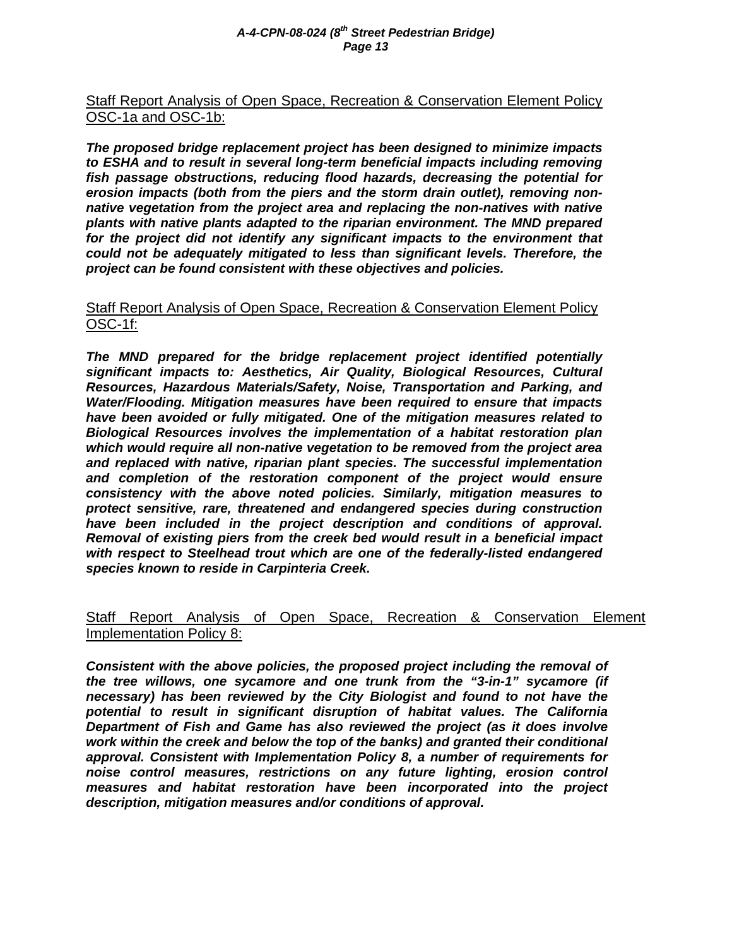# Staff Report Analysis of Open Space, Recreation & Conservation Element Policy OSC-1a and OSC-1b:

*The proposed bridge replacement project has been designed to minimize impacts to ESHA and to result in several long-term beneficial impacts including removing fish passage obstructions, reducing flood hazards, decreasing the potential for erosion impacts (both from the piers and the storm drain outlet), removing nonnative vegetation from the project area and replacing the non-natives with native plants with native plants adapted to the riparian environment. The MND prepared for the project did not identify any significant impacts to the environment that could not be adequately mitigated to less than significant levels. Therefore, the project can be found consistent with these objectives and policies.* 

# Staff Report Analysis of Open Space, Recreation & Conservation Element Policy OSC-1f:

*The MND prepared for the bridge replacement project identified potentially significant impacts to: Aesthetics, Air Quality, Biological Resources, Cultural Resources, Hazardous Materials/Safety, Noise, Transportation and Parking, and Water/Flooding. Mitigation measures have been required to ensure that impacts have been avoided or fully mitigated. One of the mitigation measures related to Biological Resources involves the implementation of a habitat restoration plan which would require all non-native vegetation to be removed from the project area and replaced with native, riparian plant species. The successful implementation and completion of the restoration component of the project would ensure consistency with the above noted policies. Similarly, mitigation measures to protect sensitive, rare, threatened and endangered species during construction have been included in the project description and conditions of approval. Removal of existing piers from the creek bed would result in a beneficial impact with respect to Steelhead trout which are one of the federally-listed endangered species known to reside in Carpinteria Creek.* 

# Staff Report Analysis of Open Space, Recreation & Conservation Element Implementation Policy 8:

*Consistent with the above policies, the proposed project including the removal of the tree willows, one sycamore and one trunk from the "3-in-1" sycamore (if necessary) has been reviewed by the City Biologist and found to not have the potential to result in significant disruption of habitat values. The California Department of Fish and Game has also reviewed the project (as it does involve*  work within the creek and below the top of the banks) and granted their conditional *approval. Consistent with Implementation Policy 8, a number of requirements for noise control measures, restrictions on any future lighting, erosion control measures and habitat restoration have been incorporated into the project description, mitigation measures and/or conditions of approval.*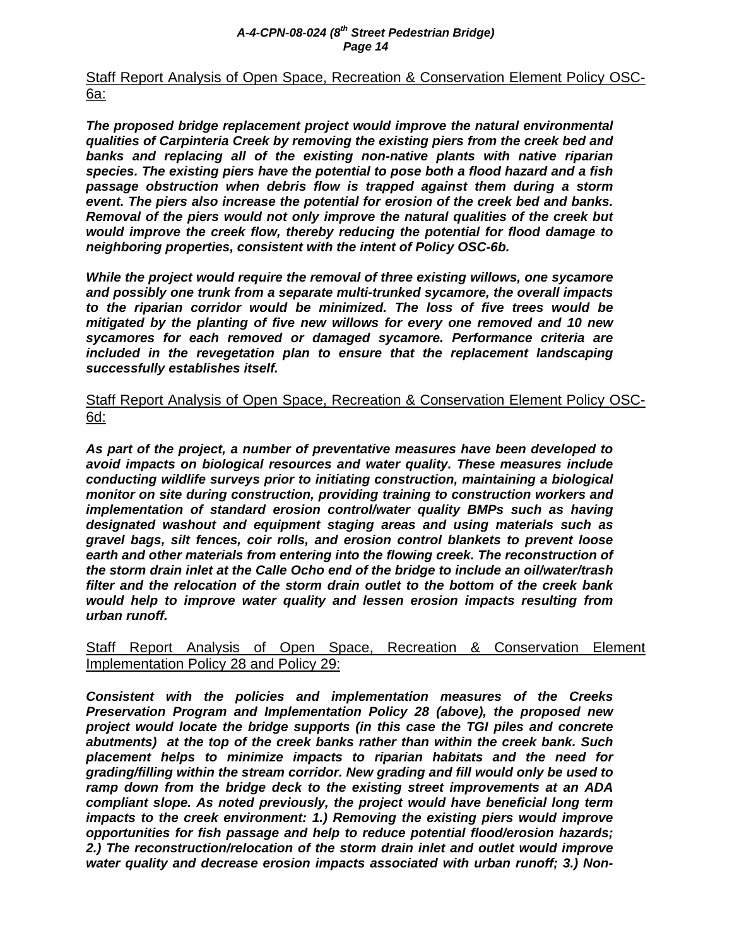Staff Report Analysis of Open Space, Recreation & Conservation Element Policy OSC-6a:

*The proposed bridge replacement project would improve the natural environmental qualities of Carpinteria Creek by removing the existing piers from the creek bed and banks and replacing all of the existing non-native plants with native riparian species. The existing piers have the potential to pose both a flood hazard and a fish passage obstruction when debris flow is trapped against them during a storm event. The piers also increase the potential for erosion of the creek bed and banks. Removal of the piers would not only improve the natural qualities of the creek but would improve the creek flow, thereby reducing the potential for flood damage to neighboring properties, consistent with the intent of Policy OSC-6b.* 

*While the project would require the removal of three existing willows, one sycamore and possibly one trunk from a separate multi-trunked sycamore, the overall impacts to the riparian corridor would be minimized. The loss of five trees would be mitigated by the planting of five new willows for every one removed and 10 new sycamores for each removed or damaged sycamore. Performance criteria are included in the revegetation plan to ensure that the replacement landscaping successfully establishes itself.* 

Staff Report Analysis of Open Space, Recreation & Conservation Element Policy OSC-6d:

*As part of the project, a number of preventative measures have been developed to avoid impacts on biological resources and water quality. These measures include conducting wildlife surveys prior to initiating construction, maintaining a biological monitor on site during construction, providing training to construction workers and implementation of standard erosion control/water quality BMPs such as having designated washout and equipment staging areas and using materials such as gravel bags, silt fences, coir rolls, and erosion control blankets to prevent loose*  earth and other materials from entering into the flowing creek. The reconstruction of *the storm drain inlet at the Calle Ocho end of the bridge to include an oil/water/trash filter and the relocation of the storm drain outlet to the bottom of the creek bank would help to improve water quality and lessen erosion impacts resulting from urban runoff.* 

# Staff Report Analysis of Open Space, Recreation & Conservation Element Implementation Policy 28 and Policy 29:

*Consistent with the policies and implementation measures of the Creeks Preservation Program and Implementation Policy 28 (above), the proposed new project would locate the bridge supports (in this case the TGI piles and concrete abutments) at the top of the creek banks rather than within the creek bank. Such placement helps to minimize impacts to riparian habitats and the need for grading/filling within the stream corridor. New grading and fill would only be used to ramp down from the bridge deck to the existing street improvements at an ADA compliant slope. As noted previously, the project would have beneficial long term impacts to the creek environment: 1.) Removing the existing piers would improve opportunities for fish passage and help to reduce potential flood/erosion hazards; 2.) The reconstruction/relocation of the storm drain inlet and outlet would improve water quality and decrease erosion impacts associated with urban runoff; 3.) Non-*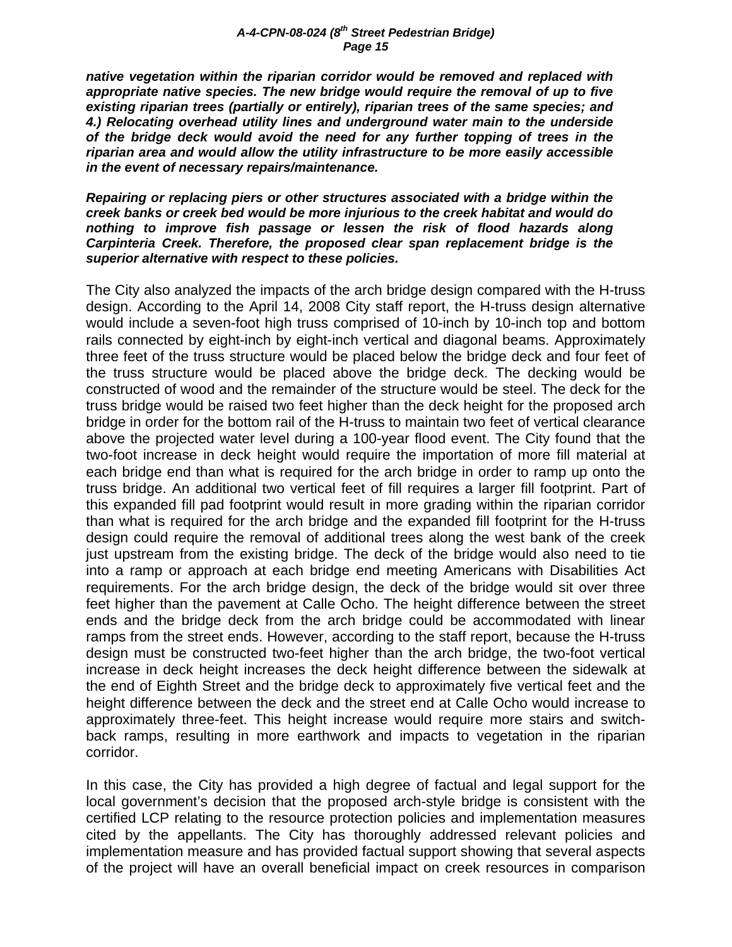*native vegetation within the riparian corridor would be removed and replaced with appropriate native species. The new bridge would require the removal of up to five existing riparian trees (partially or entirely), riparian trees of the same species; and 4.) Relocating overhead utility lines and underground water main to the underside of the bridge deck would avoid the need for any further topping of trees in the riparian area and would allow the utility infrastructure to be more easily accessible in the event of necessary repairs/maintenance.* 

*Repairing or replacing piers or other structures associated with a bridge within the creek banks or creek bed would be more injurious to the creek habitat and would do nothing to improve fish passage or lessen the risk of flood hazards along Carpinteria Creek. Therefore, the proposed clear span replacement bridge is the superior alternative with respect to these policies.* 

The City also analyzed the impacts of the arch bridge design compared with the H-truss design. According to the April 14, 2008 City staff report, the H-truss design alternative would include a seven-foot high truss comprised of 10-inch by 10-inch top and bottom rails connected by eight-inch by eight-inch vertical and diagonal beams. Approximately three feet of the truss structure would be placed below the bridge deck and four feet of the truss structure would be placed above the bridge deck. The decking would be constructed of wood and the remainder of the structure would be steel. The deck for the truss bridge would be raised two feet higher than the deck height for the proposed arch bridge in order for the bottom rail of the H-truss to maintain two feet of vertical clearance above the projected water level during a 100-year flood event. The City found that the two-foot increase in deck height would require the importation of more fill material at each bridge end than what is required for the arch bridge in order to ramp up onto the truss bridge. An additional two vertical feet of fill requires a larger fill footprint. Part of this expanded fill pad footprint would result in more grading within the riparian corridor than what is required for the arch bridge and the expanded fill footprint for the H-truss design could require the removal of additional trees along the west bank of the creek just upstream from the existing bridge. The deck of the bridge would also need to tie into a ramp or approach at each bridge end meeting Americans with Disabilities Act requirements. For the arch bridge design, the deck of the bridge would sit over three feet higher than the pavement at Calle Ocho. The height difference between the street ends and the bridge deck from the arch bridge could be accommodated with linear ramps from the street ends. However, according to the staff report, because the H-truss design must be constructed two-feet higher than the arch bridge, the two-foot vertical increase in deck height increases the deck height difference between the sidewalk at the end of Eighth Street and the bridge deck to approximately five vertical feet and the height difference between the deck and the street end at Calle Ocho would increase to approximately three-feet. This height increase would require more stairs and switchback ramps, resulting in more earthwork and impacts to vegetation in the riparian corridor.

In this case, the City has provided a high degree of factual and legal support for the local government's decision that the proposed arch-style bridge is consistent with the certified LCP relating to the resource protection policies and implementation measures cited by the appellants. The City has thoroughly addressed relevant policies and implementation measure and has provided factual support showing that several aspects of the project will have an overall beneficial impact on creek resources in comparison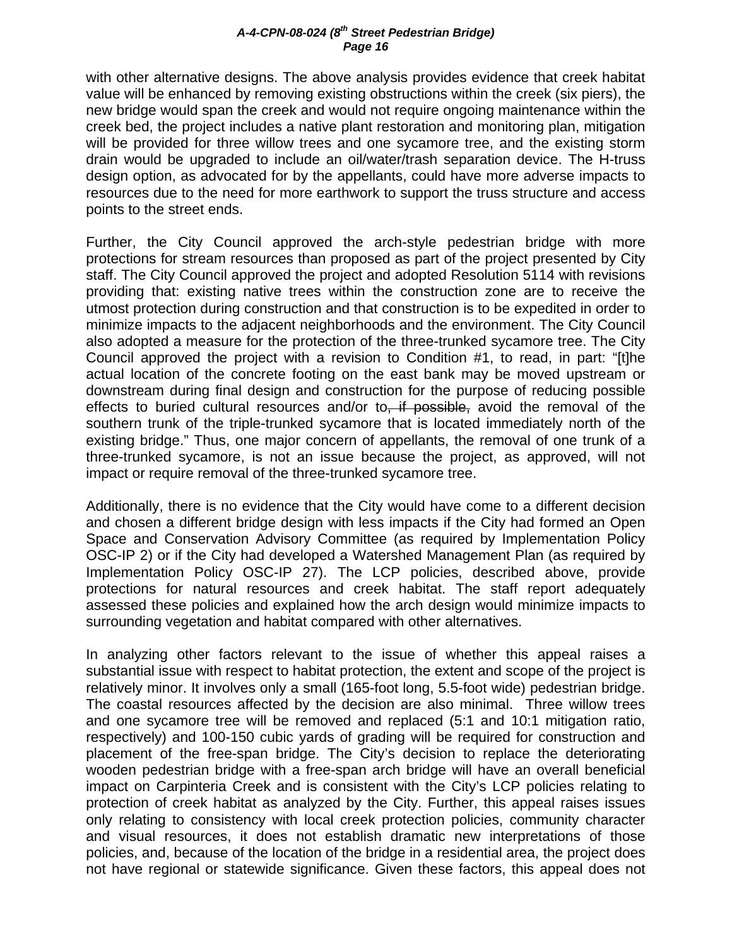with other alternative designs. The above analysis provides evidence that creek habitat value will be enhanced by removing existing obstructions within the creek (six piers), the new bridge would span the creek and would not require ongoing maintenance within the creek bed, the project includes a native plant restoration and monitoring plan, mitigation will be provided for three willow trees and one sycamore tree, and the existing storm drain would be upgraded to include an oil/water/trash separation device. The H-truss design option, as advocated for by the appellants, could have more adverse impacts to resources due to the need for more earthwork to support the truss structure and access points to the street ends.

Further, the City Council approved the arch-style pedestrian bridge with more protections for stream resources than proposed as part of the project presented by City staff. The City Council approved the project and adopted Resolution 5114 with revisions providing that: existing native trees within the construction zone are to receive the utmost protection during construction and that construction is to be expedited in order to minimize impacts to the adjacent neighborhoods and the environment. The City Council also adopted a measure for the protection of the three-trunked sycamore tree. The City Council approved the project with a revision to Condition #1, to read, in part: "[t]he actual location of the concrete footing on the east bank may be moved upstream or downstream during final design and construction for the purpose of reducing possible effects to buried cultural resources and/or to, if possible, avoid the removal of the southern trunk of the triple-trunked sycamore that is located immediately north of the existing bridge." Thus, one major concern of appellants, the removal of one trunk of a three-trunked sycamore, is not an issue because the project, as approved, will not impact or require removal of the three-trunked sycamore tree.

Additionally, there is no evidence that the City would have come to a different decision and chosen a different bridge design with less impacts if the City had formed an Open Space and Conservation Advisory Committee (as required by Implementation Policy OSC-IP 2) or if the City had developed a Watershed Management Plan (as required by Implementation Policy OSC-IP 27). The LCP policies, described above, provide protections for natural resources and creek habitat. The staff report adequately assessed these policies and explained how the arch design would minimize impacts to surrounding vegetation and habitat compared with other alternatives.

In analyzing other factors relevant to the issue of whether this appeal raises a substantial issue with respect to habitat protection, the extent and scope of the project is relatively minor. It involves only a small (165-foot long, 5.5-foot wide) pedestrian bridge. The coastal resources affected by the decision are also minimal. Three willow trees and one sycamore tree will be removed and replaced (5:1 and 10:1 mitigation ratio, respectively) and 100-150 cubic yards of grading will be required for construction and placement of the free-span bridge. The City's decision to replace the deteriorating wooden pedestrian bridge with a free-span arch bridge will have an overall beneficial impact on Carpinteria Creek and is consistent with the City's LCP policies relating to protection of creek habitat as analyzed by the City. Further, this appeal raises issues only relating to consistency with local creek protection policies, community character and visual resources, it does not establish dramatic new interpretations of those policies, and, because of the location of the bridge in a residential area, the project does not have regional or statewide significance. Given these factors, this appeal does not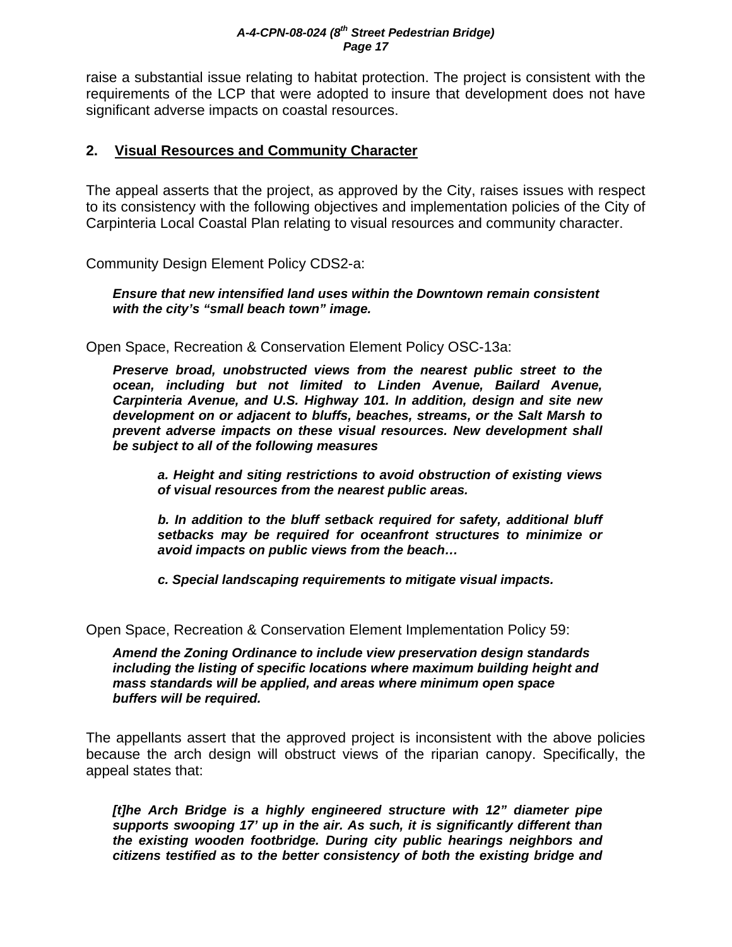raise a substantial issue relating to habitat protection. The project is consistent with the requirements of the LCP that were adopted to insure that development does not have significant adverse impacts on coastal resources.

# **2. Visual Resources and Community Character**

The appeal asserts that the project, as approved by the City, raises issues with respect to its consistency with the following objectives and implementation policies of the City of Carpinteria Local Coastal Plan relating to visual resources and community character.

Community Design Element Policy CDS2-a:

*Ensure that new intensified land uses within the Downtown remain consistent with the city's "small beach town" image.* 

Open Space, Recreation & Conservation Element Policy OSC-13a:

*Preserve broad, unobstructed views from the nearest public street to the ocean, including but not limited to Linden Avenue, Bailard Avenue, Carpinteria Avenue, and U.S. Highway 101. In addition, design and site new development on or adjacent to bluffs, beaches, streams, or the Salt Marsh to prevent adverse impacts on these visual resources. New development shall be subject to all of the following measures* 

 *a. Height and siting restrictions to avoid obstruction of existing views of visual resources from the nearest public areas.* 

 *b. In addition to the bluff setback required for safety, additional bluff setbacks may be required for oceanfront structures to minimize or avoid impacts on public views from the beach…* 

 *c. Special landscaping requirements to mitigate visual impacts.* 

Open Space, Recreation & Conservation Element Implementation Policy 59:

*Amend the Zoning Ordinance to include view preservation design standards including the listing of specific locations where maximum building height and mass standards will be applied, and areas where minimum open space buffers will be required.* 

The appellants assert that the approved project is inconsistent with the above policies because the arch design will obstruct views of the riparian canopy. Specifically, the appeal states that:

*[t]he Arch Bridge is a highly engineered structure with 12" diameter pipe supports swooping 17' up in the air. As such, it is significantly different than the existing wooden footbridge. During city public hearings neighbors and citizens testified as to the better consistency of both the existing bridge and*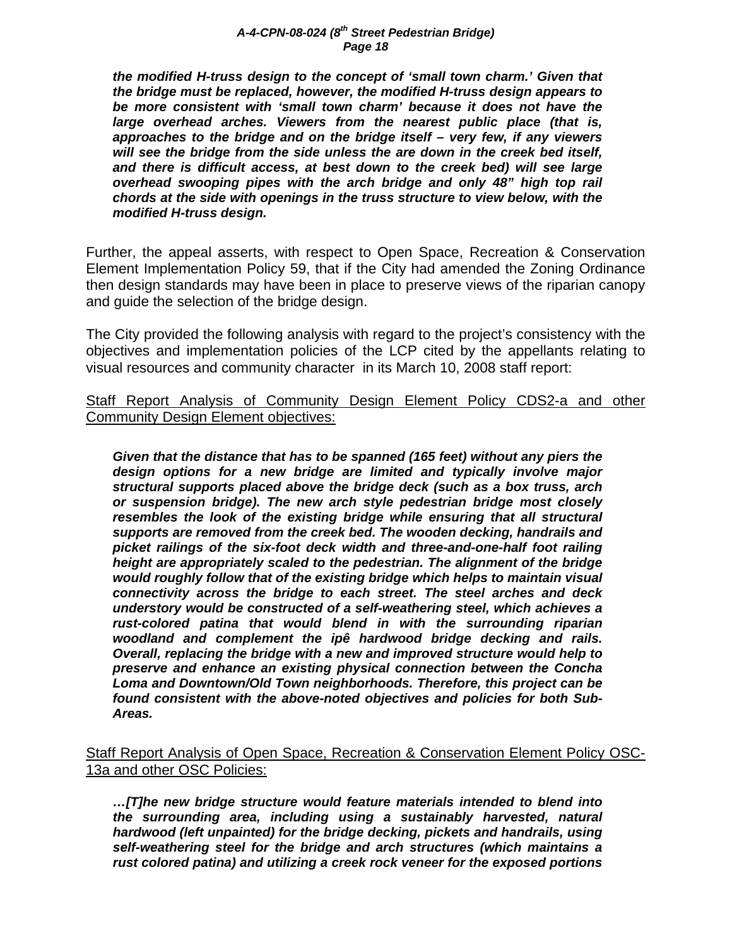*the modified H-truss design to the concept of 'small town charm.' Given that the bridge must be replaced, however, the modified H-truss design appears to be more consistent with 'small town charm' because it does not have the large overhead arches. Viewers from the nearest public place (that is, approaches to the bridge and on the bridge itself – very few, if any viewers will see the bridge from the side unless the are down in the creek bed itself, and there is difficult access, at best down to the creek bed) will see large overhead swooping pipes with the arch bridge and only 48" high top rail chords at the side with openings in the truss structure to view below, with the modified H-truss design.* 

Further, the appeal asserts, with respect to Open Space, Recreation & Conservation Element Implementation Policy 59, that if the City had amended the Zoning Ordinance then design standards may have been in place to preserve views of the riparian canopy and guide the selection of the bridge design.

The City provided the following analysis with regard to the project's consistency with the objectives and implementation policies of the LCP cited by the appellants relating to visual resources and community character in its March 10, 2008 staff report:

Staff Report Analysis of Community Design Element Policy CDS2-a and other Community Design Element objectives:

*Given that the distance that has to be spanned (165 feet) without any piers the design options for a new bridge are limited and typically involve major structural supports placed above the bridge deck (such as a box truss, arch or suspension bridge). The new arch style pedestrian bridge most closely resembles the look of the existing bridge while ensuring that all structural supports are removed from the creek bed. The wooden decking, handrails and picket railings of the six-foot deck width and three-and-one-half foot railing height are appropriately scaled to the pedestrian. The alignment of the bridge would roughly follow that of the existing bridge which helps to maintain visual connectivity across the bridge to each street. The steel arches and deck understory would be constructed of a self-weathering steel, which achieves a rust-colored patina that would blend in with the surrounding riparian woodland and complement the ipê hardwood bridge decking and rails. Overall, replacing the bridge with a new and improved structure would help to preserve and enhance an existing physical connection between the Concha Loma and Downtown/Old Town neighborhoods. Therefore, this project can be found consistent with the above-noted objectives and policies for both Sub-Areas.* 

Staff Report Analysis of Open Space, Recreation & Conservation Element Policy OSC-13a and other OSC Policies:

*…[T]he new bridge structure would feature materials intended to blend into the surrounding area, including using a sustainably harvested, natural hardwood (left unpainted) for the bridge decking, pickets and handrails, using self-weathering steel for the bridge and arch structures (which maintains a rust colored patina) and utilizing a creek rock veneer for the exposed portions*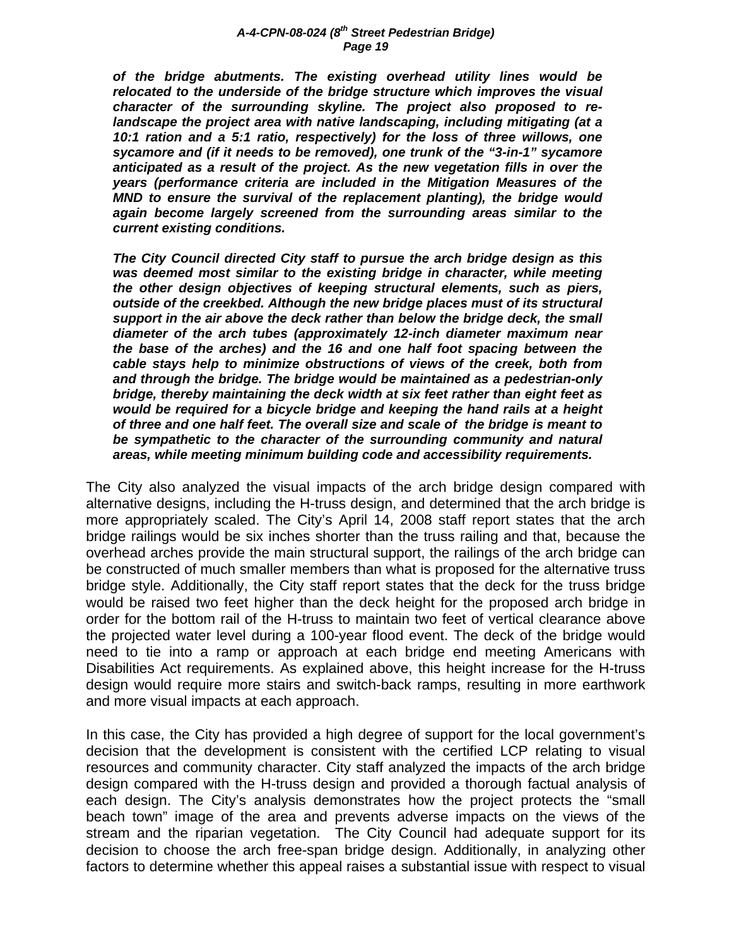*of the bridge abutments. The existing overhead utility lines would be relocated to the underside of the bridge structure which improves the visual character of the surrounding skyline. The project also proposed to relandscape the project area with native landscaping, including mitigating (at a 10:1 ration and a 5:1 ratio, respectively) for the loss of three willows, one sycamore and (if it needs to be removed), one trunk of the "3-in-1" sycamore anticipated as a result of the project. As the new vegetation fills in over the years (performance criteria are included in the Mitigation Measures of the MND to ensure the survival of the replacement planting), the bridge would again become largely screened from the surrounding areas similar to the current existing conditions.* 

*The City Council directed City staff to pursue the arch bridge design as this*  was deemed most similar to the existing bridge in character, while meeting *the other design objectives of keeping structural elements, such as piers, outside of the creekbed. Although the new bridge places must of its structural support in the air above the deck rather than below the bridge deck, the small diameter of the arch tubes (approximately 12-inch diameter maximum near the base of the arches) and the 16 and one half foot spacing between the cable stays help to minimize obstructions of views of the creek, both from and through the bridge. The bridge would be maintained as a pedestrian-only bridge, thereby maintaining the deck width at six feet rather than eight feet as would be required for a bicycle bridge and keeping the hand rails at a height of three and one half feet. The overall size and scale of the bridge is meant to*  be sympathetic to the character of the surrounding community and natural *areas, while meeting minimum building code and accessibility requirements.*

The City also analyzed the visual impacts of the arch bridge design compared with alternative designs, including the H-truss design, and determined that the arch bridge is more appropriately scaled. The City's April 14, 2008 staff report states that the arch bridge railings would be six inches shorter than the truss railing and that, because the overhead arches provide the main structural support, the railings of the arch bridge can be constructed of much smaller members than what is proposed for the alternative truss bridge style. Additionally, the City staff report states that the deck for the truss bridge would be raised two feet higher than the deck height for the proposed arch bridge in order for the bottom rail of the H-truss to maintain two feet of vertical clearance above the projected water level during a 100-year flood event. The deck of the bridge would need to tie into a ramp or approach at each bridge end meeting Americans with Disabilities Act requirements. As explained above, this height increase for the H-truss design would require more stairs and switch-back ramps, resulting in more earthwork and more visual impacts at each approach.

In this case, the City has provided a high degree of support for the local government's decision that the development is consistent with the certified LCP relating to visual resources and community character. City staff analyzed the impacts of the arch bridge design compared with the H-truss design and provided a thorough factual analysis of each design. The City's analysis demonstrates how the project protects the "small beach town" image of the area and prevents adverse impacts on the views of the stream and the riparian vegetation. The City Council had adequate support for its decision to choose the arch free-span bridge design. Additionally, in analyzing other factors to determine whether this appeal raises a substantial issue with respect to visual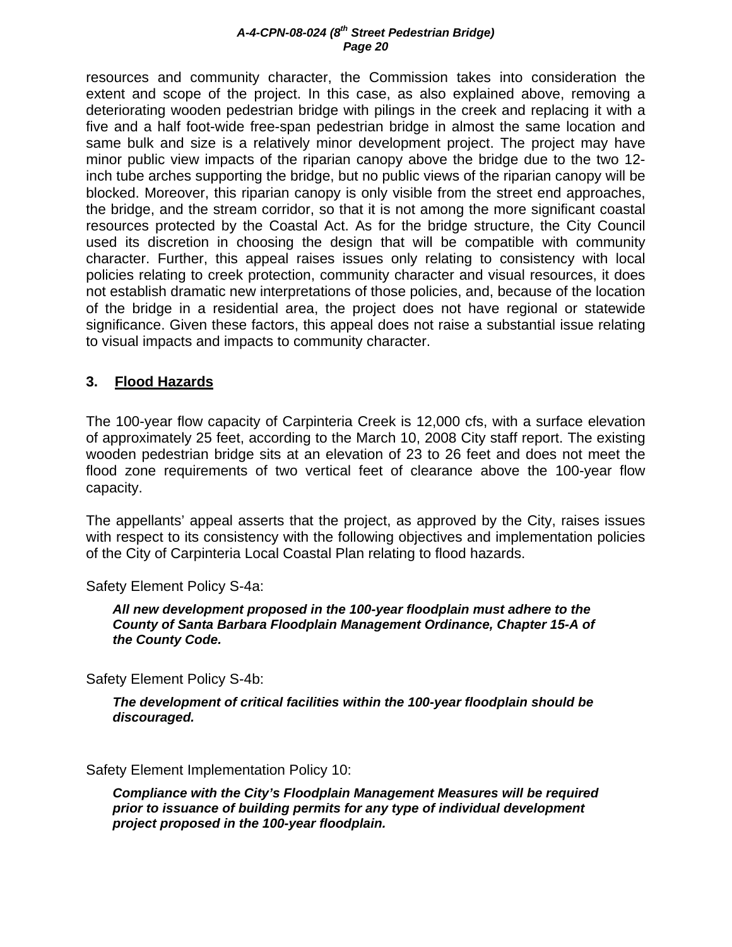resources and community character, the Commission takes into consideration the extent and scope of the project. In this case, as also explained above, removing a deteriorating wooden pedestrian bridge with pilings in the creek and replacing it with a five and a half foot-wide free-span pedestrian bridge in almost the same location and same bulk and size is a relatively minor development project. The project may have minor public view impacts of the riparian canopy above the bridge due to the two 12 inch tube arches supporting the bridge, but no public views of the riparian canopy will be blocked. Moreover, this riparian canopy is only visible from the street end approaches, the bridge, and the stream corridor, so that it is not among the more significant coastal resources protected by the Coastal Act. As for the bridge structure, the City Council used its discretion in choosing the design that will be compatible with community character. Further, this appeal raises issues only relating to consistency with local policies relating to creek protection, community character and visual resources, it does not establish dramatic new interpretations of those policies, and, because of the location of the bridge in a residential area, the project does not have regional or statewide significance. Given these factors, this appeal does not raise a substantial issue relating to visual impacts and impacts to community character.

# **3. Flood Hazards**

The 100-year flow capacity of Carpinteria Creek is 12,000 cfs, with a surface elevation of approximately 25 feet, according to the March 10, 2008 City staff report. The existing wooden pedestrian bridge sits at an elevation of 23 to 26 feet and does not meet the flood zone requirements of two vertical feet of clearance above the 100-year flow capacity.

The appellants' appeal asserts that the project, as approved by the City, raises issues with respect to its consistency with the following objectives and implementation policies of the City of Carpinteria Local Coastal Plan relating to flood hazards.

Safety Element Policy S-4a:

*All new development proposed in the 100-year floodplain must adhere to the County of Santa Barbara Floodplain Management Ordinance, Chapter 15-A of the County Code.* 

Safety Element Policy S-4b:

*The development of critical facilities within the 100-year floodplain should be discouraged.* 

Safety Element Implementation Policy 10:

*Compliance with the City's Floodplain Management Measures will be required prior to issuance of building permits for any type of individual development project proposed in the 100-year floodplain.*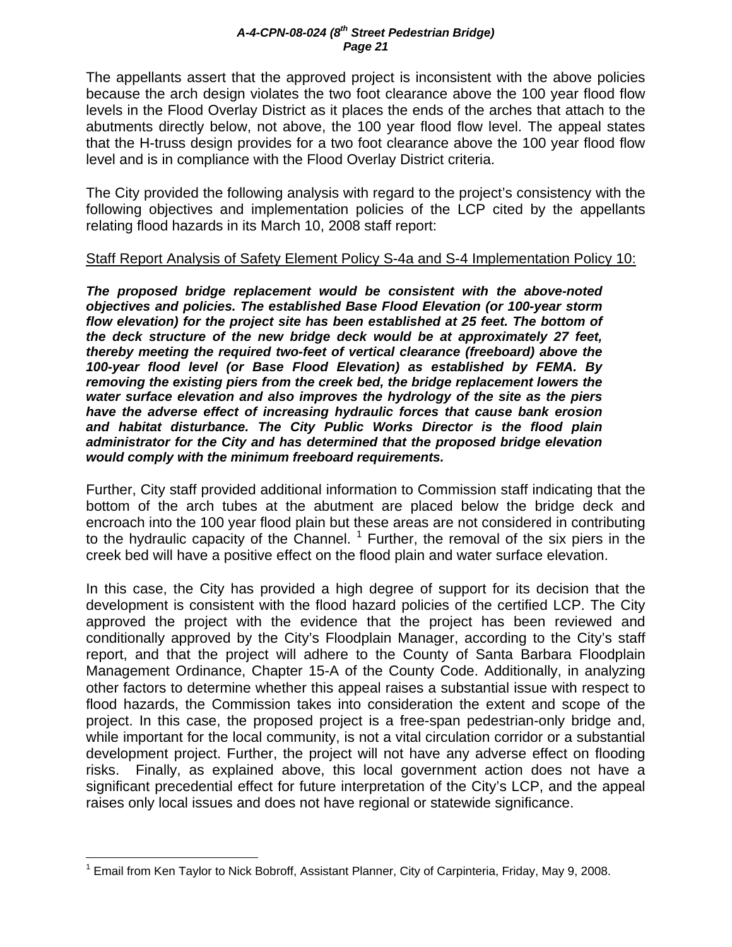The appellants assert that the approved project is inconsistent with the above policies because the arch design violates the two foot clearance above the 100 year flood flow levels in the Flood Overlay District as it places the ends of the arches that attach to the abutments directly below, not above, the 100 year flood flow level. The appeal states that the H-truss design provides for a two foot clearance above the 100 year flood flow level and is in compliance with the Flood Overlay District criteria.

The City provided the following analysis with regard to the project's consistency with the following objectives and implementation policies of the LCP cited by the appellants relating flood hazards in its March 10, 2008 staff report:

# Staff Report Analysis of Safety Element Policy S-4a and S-4 Implementation Policy 10:

*The proposed bridge replacement would be consistent with the above-noted objectives and policies. The established Base Flood Elevation (or 100-year storm flow elevation) for the project site has been established at 25 feet. The bottom of the deck structure of the new bridge deck would be at approximately 27 feet, thereby meeting the required two-feet of vertical clearance (freeboard) above the 100-year flood level (or Base Flood Elevation) as established by FEMA. By removing the existing piers from the creek bed, the bridge replacement lowers the water surface elevation and also improves the hydrology of the site as the piers have the adverse effect of increasing hydraulic forces that cause bank erosion and habitat disturbance. The City Public Works Director is the flood plain administrator for the City and has determined that the proposed bridge elevation would comply with the minimum freeboard requirements.*

Further, City staff provided additional information to Commission staff indicating that the bottom of the arch tubes at the abutment are placed below the bridge deck and encroach into the 100 year flood plain but these areas are not considered in contributing to the hydraulic capacity of the Channel.  $1$  Further, the removal of the six piers in the creek bed will have a positive effect on the flood plain and water surface elevation.

In this case, the City has provided a high degree of support for its decision that the development is consistent with the flood hazard policies of the certified LCP. The City approved the project with the evidence that the project has been reviewed and conditionally approved by the City's Floodplain Manager, according to the City's staff report, and that the project will adhere to the County of Santa Barbara Floodplain Management Ordinance, Chapter 15-A of the County Code. Additionally, in analyzing other factors to determine whether this appeal raises a substantial issue with respect to flood hazards, the Commission takes into consideration the extent and scope of the project. In this case, the proposed project is a free-span pedestrian-only bridge and, while important for the local community, is not a vital circulation corridor or a substantial development project. Further, the project will not have any adverse effect on flooding risks. Finally, as explained above, this local government action does not have a significant precedential effect for future interpretation of the City's LCP, and the appeal raises only local issues and does not have regional or statewide significance.

<sup>1</sup> <sup>1</sup> Email from Ken Taylor to Nick Bobroff, Assistant Planner, City of Carpinteria, Friday, May 9, 2008.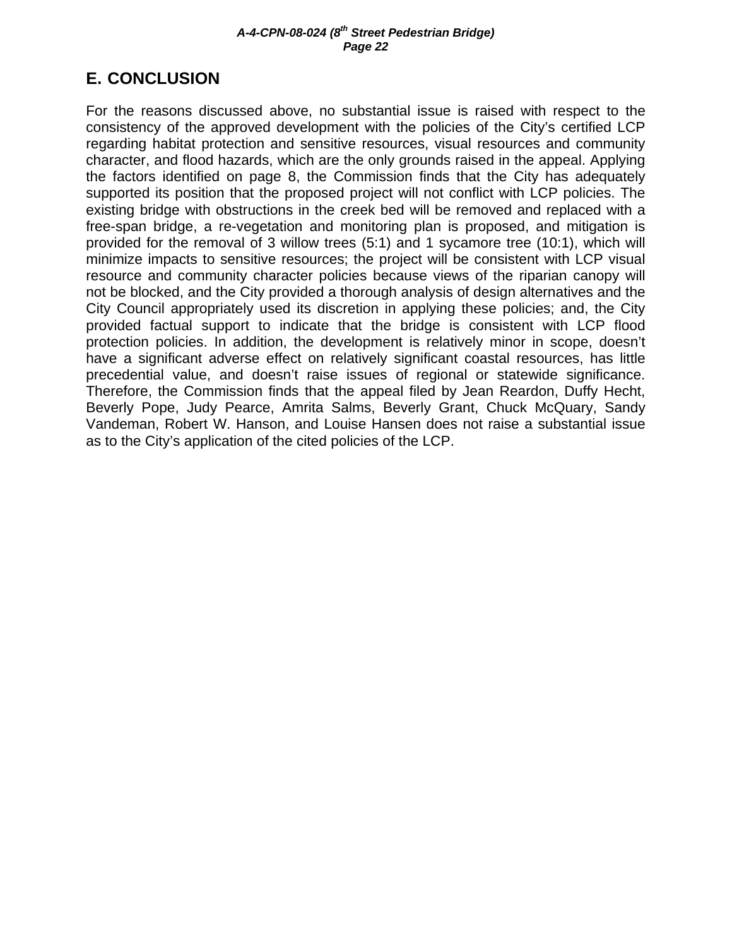# **E. CONCLUSION**

For the reasons discussed above, no substantial issue is raised with respect to the consistency of the approved development with the policies of the City's certified LCP regarding habitat protection and sensitive resources, visual resources and community character, and flood hazards, which are the only grounds raised in the appeal. Applying the factors identified on page 8, the Commission finds that the City has adequately supported its position that the proposed project will not conflict with LCP policies. The existing bridge with obstructions in the creek bed will be removed and replaced with a free-span bridge, a re-vegetation and monitoring plan is proposed, and mitigation is provided for the removal of 3 willow trees (5:1) and 1 sycamore tree (10:1), which will minimize impacts to sensitive resources; the project will be consistent with LCP visual resource and community character policies because views of the riparian canopy will not be blocked, and the City provided a thorough analysis of design alternatives and the City Council appropriately used its discretion in applying these policies; and, the City provided factual support to indicate that the bridge is consistent with LCP flood protection policies. In addition, the development is relatively minor in scope, doesn't have a significant adverse effect on relatively significant coastal resources, has little precedential value, and doesn't raise issues of regional or statewide significance. Therefore, the Commission finds that the appeal filed by Jean Reardon, Duffy Hecht, Beverly Pope, Judy Pearce, Amrita Salms, Beverly Grant, Chuck McQuary, Sandy Vandeman, Robert W. Hanson, and Louise Hansen does not raise a substantial issue as to the City's application of the cited policies of the LCP.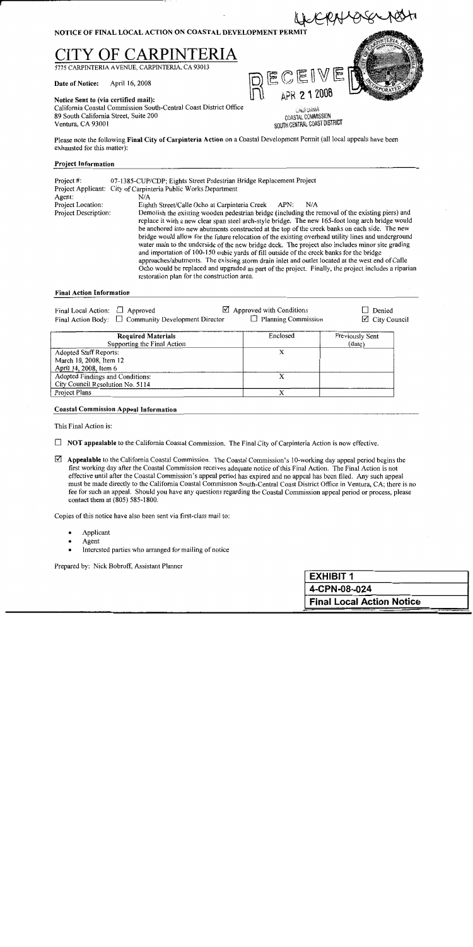

#### **Project Information**

| Project $#$ :        | 07-1385-CUP/CDP; Eights Street Pedestrian Bridge Replacement Project<br>Project Applicant: City of Carpinteria Public Works Department                                                                                                                                                                                                                                                                                                                                                                                                                                                                                                                                                                                                                                                                                                                                    |
|----------------------|---------------------------------------------------------------------------------------------------------------------------------------------------------------------------------------------------------------------------------------------------------------------------------------------------------------------------------------------------------------------------------------------------------------------------------------------------------------------------------------------------------------------------------------------------------------------------------------------------------------------------------------------------------------------------------------------------------------------------------------------------------------------------------------------------------------------------------------------------------------------------|
| Agent:               | N/A                                                                                                                                                                                                                                                                                                                                                                                                                                                                                                                                                                                                                                                                                                                                                                                                                                                                       |
| Project Location:    | Eighth Street/Calle Ocho at Carpinteria Creek<br>APN:<br>N/A                                                                                                                                                                                                                                                                                                                                                                                                                                                                                                                                                                                                                                                                                                                                                                                                              |
| Project Description: | Demolish the existing wooden pedestrian bridge (including the removal of the existing piers) and<br>replace it with a new clear span steel arch-style bridge. The new 165-foot long arch bridge would<br>be anchored into new abutments constructed at the top of the creek banks on each side. The new<br>bridge would allow for the future relocation of the existing overhead utility lines and underground<br>water main to the underside of the new bridge deck. The project also includes minor site grading<br>and importation of 100-150 cubic yards of fill outside of the creek banks for the bridge<br>approaches/abutments. The existing storm drain inlet and outlet located at the west end of Calle<br>Ocho would be replaced and upgraded as part of the project. Finally, the project includes a riparian<br>restoration plan for the construction area. |

#### **Final Action Information**

| Final Local Action: $\Box$ Approved | Final Action Body: $\Box$ Community Development Director | $\boxtimes$ Approved with Conditions<br>$\Box$ Planning Commission | $\Box$ Denied<br>$\boxtimes$ City Council |
|-------------------------------------|----------------------------------------------------------|--------------------------------------------------------------------|-------------------------------------------|
|                                     |                                                          |                                                                    |                                           |

| <b>Required Materials</b>        | Enclosed | Previously Sent |
|----------------------------------|----------|-----------------|
| Supporting the Final Action      |          | (data)          |
| Adopted Staff Reports:           |          |                 |
| March 10, 2008, Item 12          |          |                 |
| April 14, 2008, Item 6           |          |                 |
| Adopted Findings and Conditions: |          |                 |
| City Council Resolution No. 5114 |          |                 |
| Project Plans                    |          |                 |

#### **Coastal Commission Appeal Information**

This Final Action is:

- $\Box$  NOT appealable to the California Coastal Commission. The Final City of Carpinteria Action is now effective.
- $\boxtimes$  Appealable to the California Coastal Commission. The Coastal Commission's 10-working day appeal period begins the first working day after the Coastal Commission receives adequate notice of this Final Action. The Final Action is not effective until after the Coastal Commission's appeal period has expired and no appeal has been filed. Any such appeal must be made directly to the California Coastal Commission South-Central Coast District Office in Ventura, CA; there is no fee for such an appeal. Should you have any questions regarding the Coastal Commission appeal period or process, please contact them at (805) 585-1800.

Copies of this notice have also been sent via first-class mail to:

- Applicant
- Agent
- Interested parties who arranged for mailing of notice

Prepared by: Nick Bobroff, Assistant Planner

| <b>EXHIBIT 1</b>                 |
|----------------------------------|
| 4-CPN-08--024                    |
| <b>Final Local Action Notice</b> |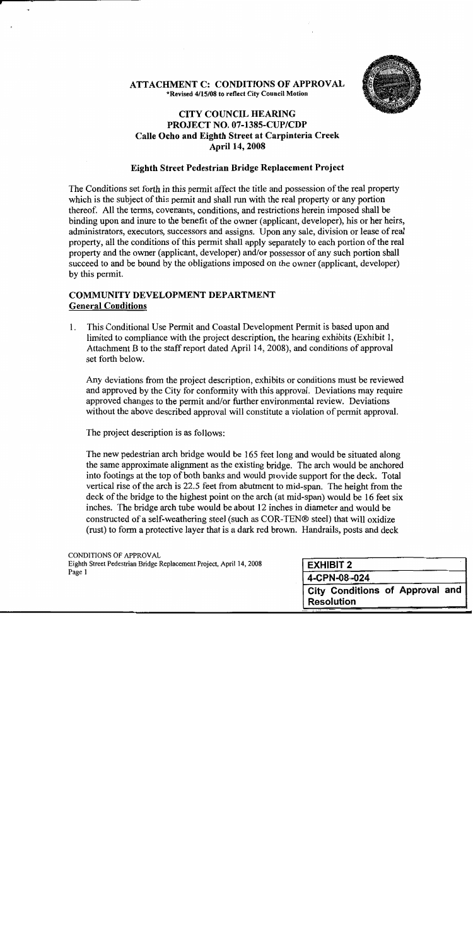# **ATTACHMENT C: CONDITIONS OF APPROVAL** \*Revised 4/15/08 to reflect City Council Motion



# **CITY COUNCIL HEARING** PROJECT NO. 07-1385-CUP/CDP Calle Ocho and Eighth Street at Carpinteria Creek **April 14, 2008**

# **Eighth Street Pedestrian Bridge Replacement Project**

The Conditions set forth in this permit affect the title and possession of the real property which is the subject of this permit and shall run with the real property or any portion thereof. All the terms, covenants, conditions, and restrictions herein imposed shall be binding upon and inure to the benefit of the owner (applicant, developer), his or her heirs, administrators, executors, successors and assigns. Upon any sale, division or lease of real property, all the conditions of this permit shall apply separately to each portion of the real property and the owner (applicant, developer) and/or possessor of any such portion shall succeed to and be bound by the obligations imposed on the owner (applicant, developer) by this permit.

# **COMMUNITY DEVELOPMENT DEPARTMENT General Conditions**

This Conditional Use Permit and Coastal Development Permit is based upon and  $1_{-}$ limited to compliance with the project description, the hearing exhibits (Exhibit 1, Attachment B to the staff report dated April 14, 2008), and conditions of approval set forth below.

Any deviations from the project description, exhibits or conditions must be reviewed and approved by the City for conformity with this approval. Deviations may require approved changes to the permit and/or further environmental review. Deviations without the above described approval will constitute a violation of permit approval.

The project description is as follows:

The new pedestrian arch bridge would be 165 feet long and would be situated along the same approximate alignment as the existing bridge. The arch would be anchored into footings at the top of both banks and would provide support for the deck. Total vertical rise of the arch is 22.5 feet from abutment to mid-span. The height from the deck of the bridge to the highest point on the arch (at mid-span) would be 16 feet six inches. The bridge arch tube would be about 12 inches in diameter and would be constructed of a self-weathering steel (such as COR-TEN® steel) that will oxidize (rust) to form a protective laver that is a dark red brown. Handrails, posts and deck

**CONDITIONS OF APPROVAL** Eighth Street Pedestrian Bridge Replacement Project, April 14, 2008 Page 1

| <b>EXHIBIT 2</b>  |                                 |
|-------------------|---------------------------------|
| 4-CPN-08-024      |                                 |
|                   | City Conditions of Approval and |
| <b>Resolution</b> |                                 |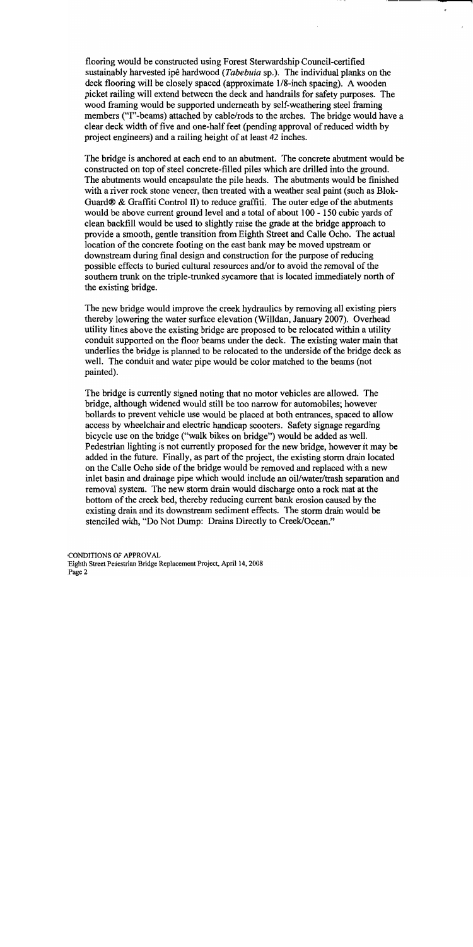flooring would be constructed using Forest Sterwardship Council-certified sustainably harvested ipê hardwood (Tabebuia sp.). The individual planks on the deck flooring will be closely spaced (approximate 1/8-inch spacing). A wooden picket railing will extend between the deck and handrails for safety purposes. The wood framing would be supported underneath by self-weathering steel framing members ("I"-beams) attached by cable/rods to the arches. The bridge would have a clear deck width of five and one-half feet (pending approval of reduced width by project engineers) and a railing height of at least 42 inches.

The bridge is anchored at each end to an abutment. The concrete abutment would be constructed on top of steel concrete-filled piles which are drilled into the ground. The abutments would encapsulate the pile heads. The abutments would be finished with a river rock stone veneer, then treated with a weather seal paint (such as Blok-Guard® & Graffiti Control II) to reduce graffiti. The outer edge of the abutments would be above current ground level and a total of about 100 - 150 cubic yards of clean backfill would be used to slightly raise the grade at the bridge approach to provide a smooth, gentle transition from Eighth Street and Calle Ocho. The actual location of the concrete footing on the east bank may be moved upstream or downstream during final design and construction for the purpose of reducing possible effects to buried cultural resources and/or to avoid the removal of the southern trunk on the triple-trunked sycamore that is located immediately north of the existing bridge.

The new bridge would improve the creek hydraulics by removing all existing piers thereby lowering the water surface elevation (Willdan, January 2007). Overhead utility lines above the existing bridge are proposed to be relocated within a utility conduit supported on the floor beams under the deck. The existing water main that underlies the bridge is planned to be relocated to the underside of the bridge deck as well. The conduit and water pipe would be color matched to the beams (not painted).

The bridge is currently signed noting that no motor vehicles are allowed. The bridge, although widened would still be too narrow for automobiles; however bollards to prevent vehicle use would be placed at both entrances, spaced to allow access by wheelchair and electric handicap scooters. Safety signage regarding bicycle use on the bridge ("walk bikes on bridge") would be added as well. Pedestrian lighting is not currently proposed for the new bridge, however it may be added in the future. Finally, as part of the project, the existing storm drain located on the Calle Ocho side of the bridge would be removed and replaced with a new inlet basin and drainage pipe which would include an oil/water/trash separation and removal system. The new storm drain would discharge onto a rock mat at the bottom of the creek bed, thereby reducing current bank erosion caused by the existing drain and its downstream sediment effects. The storm drain would be stenciled with, "Do Not Dump: Drains Directly to Creek/Ocean."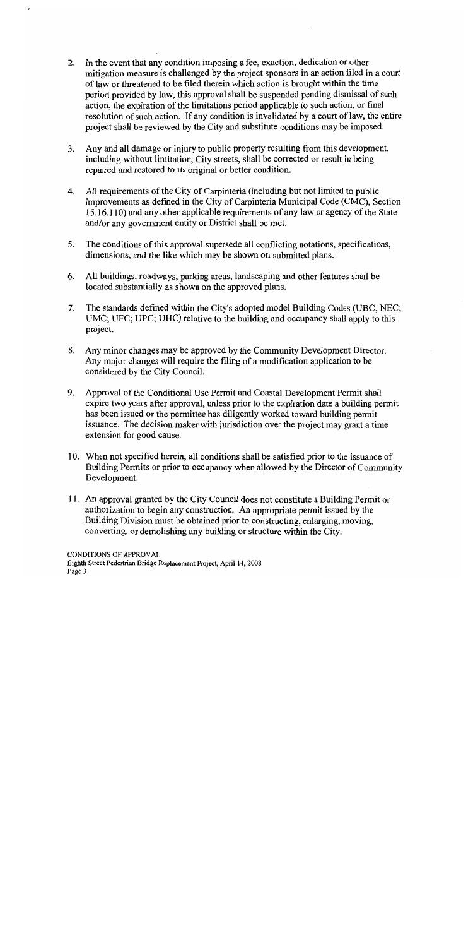- 2. In the event that any condition imposing a fee, exaction, dedication or other mitigation measure is challenged by the project sponsors in an action filed in a court of law or threatened to be filed therein which action is brought within the time period provided by law, this approval shall be suspended pending dismissal of such action, the expiration of the limitations period applicable to such action, or final resolution of such action. If any condition is invalidated by a court of law, the entire project shall be reviewed by the City and substitute conditions may be imposed.
- 3. Any and all damage or injury to public property resulting from this development, including without limitation, City streets, shall be corrected or result in being repaired and restored to its original or better condition.
- 4. All requirements of the City of Carpinteria (including but not limited to public improvements as defined in the City of Carpinteria Municipal Code (CMC), Section 15.16.110) and any other applicable requirements of any law or agency of the State and/or any government entity or District shall be met.
- $5<sub>1</sub>$ The conditions of this approval supersede all conflicting notations, specifications, dimensions, and the like which may be shown on submitted plans.
- 6. All buildings, roadways, parking areas, landscaping and other features shall be located substantially as shown on the approved plans.
- The standards defined within the City's adopted model Building Codes (UBC; NEC; 7. UMC; UFC; UPC; UHC) relative to the building and occupancy shall apply to this project.
- 8. Any minor changes may be approved by the Community Development Director. Any major changes will require the filing of a modification application to be considered by the City Council.
- 9. Approval of the Conditional Use Permit and Coastal Development Permit shall expire two years after approval, unless prior to the expiration date a building permit has been issued or the permittee has diligently worked toward building permit issuance. The decision maker with jurisdiction over the project may grant a time extension for good cause.
- 10. When not specified herein, all conditions shall be satisfied prior to the issuance of Building Permits or prior to occupancy when allowed by the Director of Community Development.
- 11. An approval granted by the City Council does not constitute a Building Permit or authorization to begin any construction. An appropriate permit issued by the Building Division must be obtained prior to constructing, enlarging, moving, converting, or demolishing any building or structure within the City.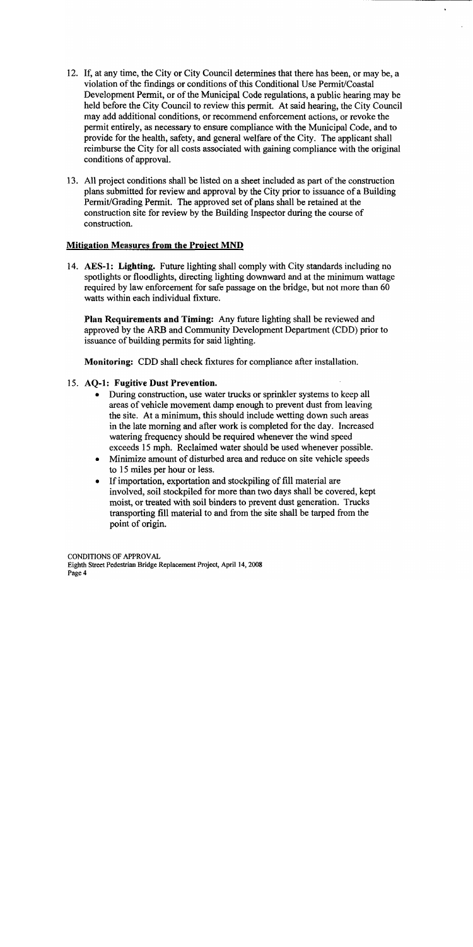- 12. If, at any time, the City or City Council determines that there has been, or may be, a violation of the findings or conditions of this Conditional Use Permit/Coastal Development Permit, or of the Municipal Code regulations, a public hearing may be held before the City Council to review this permit. At said hearing, the City Council may add additional conditions, or recommend enforcement actions, or revoke the permit entirely, as necessary to ensure compliance with the Municipal Code, and to provide for the health, safety, and general welfare of the City. The applicant shall reimburse the City for all costs associated with gaining compliance with the original conditions of approval.
- 13. All project conditions shall be listed on a sheet included as part of the construction plans submitted for review and approval by the City prior to issuance of a Building Permit/Grading Permit. The approved set of plans shall be retained at the construction site for review by the Building Inspector during the course of construction.

# **Mitigation Measures from the Project MND**

14. AES-1: Lighting. Future lighting shall comply with City standards including no spotlights or floodlights, directing lighting downward and at the minimum wattage required by law enforcement for safe passage on the bridge, but not more than 60 watts within each individual fixture.

Plan Requirements and Timing: Any future lighting shall be reviewed and approved by the ARB and Community Development Department (CDD) prior to issuance of building permits for said lighting.

Monitoring: CDD shall check fixtures for compliance after installation.

# 15. AQ-1: Fugitive Dust Prevention.

- During construction, use water trucks or sprinkler systems to keep all areas of vehicle movement damp enough to prevent dust from leaving the site. At a minimum, this should include wetting down such areas in the late morning and after work is completed for the day. Increased watering frequency should be required whenever the wind speed exceeds 15 mph. Reclaimed water should be used whenever possible.
- Minimize amount of disturbed area and reduce on site vehicle speeds to 15 miles per hour or less.
- If importation, exportation and stockpiling of fill material are involved, soil stockpiled for more than two days shall be covered, kept moist, or treated with soil binders to prevent dust generation. Trucks transporting fill material to and from the site shall be tarped from the point of origin.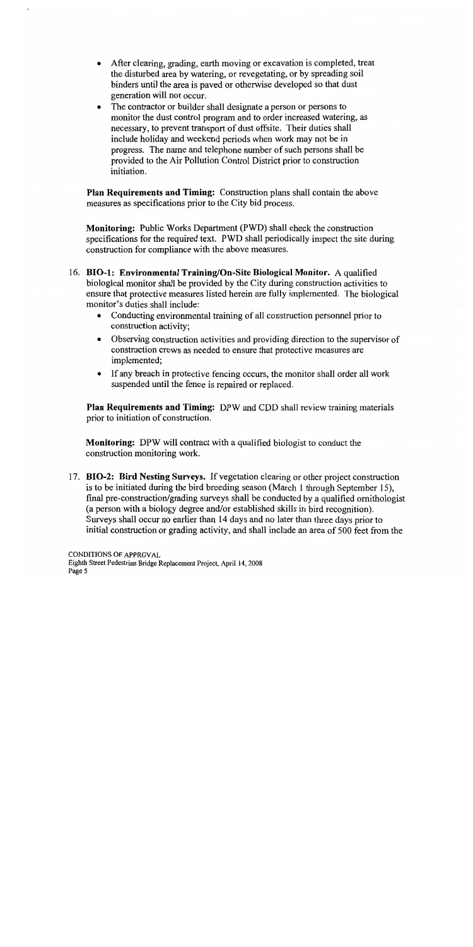- After clearing, grading, earth moving or excavation is completed, treat the disturbed area by watering, or revegetating, or by spreading soil binders until the area is paved or otherwise developed so that dust generation will not occur.
- The contractor or builder shall designate a person or persons to monitor the dust control program and to order increased watering, as necessary, to prevent transport of dust offsite. Their duties shall include holiday and weekend periods when work may not be in progress. The name and telephone number of such persons shall be provided to the Air Pollution Control District prior to construction initiation.

Plan Requirements and Timing: Construction plans shall contain the above measures as specifications prior to the City bid process.

**Monitoring:** Public Works Department (PWD) shall check the construction specifications for the required text. PWD shall periodically inspect the site during construction for compliance with the above measures.

- 16. BIO-1: Environmental Training/On-Site Biological Monitor. A qualified biological monitor shall be provided by the City during construction activities to ensure that protective measures listed herein are fully implemented. The biological monitor's duties shall include:
	- Conducting environmental training of all construction personnel prior to construction activity;
	- Observing construction activities and providing direction to the supervisor of construction crews as needed to ensure that protective measures are implemented;
	- If any breach in protective fencing occurs, the monitor shall order all work suspended until the fence is repaired or replaced.

Plan Requirements and Timing: DPW and CDD shall review training materials prior to initiation of construction.

**Monitoring:** DPW will contract with a qualified biologist to conduct the construction monitoring work.

17. BIO-2: Bird Nesting Surveys. If vegetation clearing or other project construction is to be initiated during the bird breeding season (March 1 through September 15). final pre-construction/grading surveys shall be conducted by a qualified ornithologist (a person with a biology degree and/or established skills in bird recognition). Surveys shall occur no earlier than 14 days and no later than three days prior to initial construction or grading activity, and shall include an area of 500 feet from the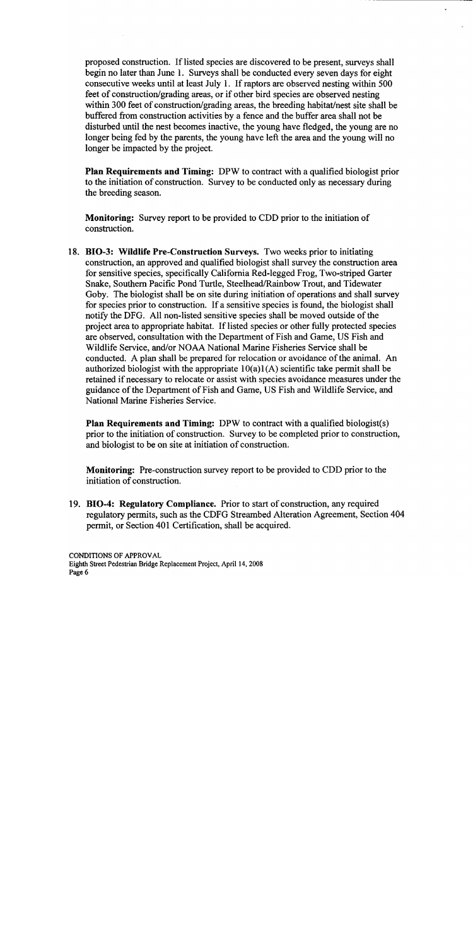proposed construction. If listed species are discovered to be present, surveys shall begin no later than June 1. Surveys shall be conducted every seven days for eight consecutive weeks until at least July 1. If raptors are observed nesting within 500 feet of construction/grading areas, or if other bird species are observed nesting within 300 feet of construction/grading areas, the breeding habitat/nest site shall be buffered from construction activities by a fence and the buffer area shall not be disturbed until the nest becomes inactive, the young have fledged, the young are no longer being fed by the parents, the young have left the area and the young will no longer be impacted by the project.

**Plan Requirements and Timing:** DPW to contract with a qualified biologist prior to the initiation of construction. Survey to be conducted only as necessary during the breeding season.

**Monitoring:** Survey report to be provided to CDD prior to the initiation of construction.

18. BIO-3: Wildlife Pre-Construction Surveys. Two weeks prior to initiating construction, an approved and qualified biologist shall survey the construction area for sensitive species, specifically California Red-legged Frog, Two-striped Garter Snake, Southern Pacific Pond Turtle, Steelhead/Rainbow Trout, and Tidewater Goby. The biologist shall be on site during initiation of operations and shall survey for species prior to construction. If a sensitive species is found, the biologist shall notify the DFG. All non-listed sensitive species shall be moved outside of the project area to appropriate habitat. If listed species or other fully protected species are observed, consultation with the Department of Fish and Game, US Fish and Wildlife Service, and/or NOAA National Marine Fisheries Service shall be conducted. A plan shall be prepared for relocation or avoidance of the animal. An authorized biologist with the appropriate  $10(a)1(A)$  scientific take permit shall be retained if necessary to relocate or assist with species avoidance measures under the guidance of the Department of Fish and Game, US Fish and Wildlife Service, and National Marine Fisheries Service.

**Plan Requirements and Timing:** DPW to contract with a qualified biologist(s) prior to the initiation of construction. Survey to be completed prior to construction, and biologist to be on site at initiation of construction.

**Monitoring:** Pre-construction survey report to be provided to CDD prior to the initiation of construction.

19. BIO-4: Regulatory Compliance. Prior to start of construction, any required regulatory permits, such as the CDFG Streambed Alteration Agreement, Section 404 permit, or Section 401 Certification, shall be acquired.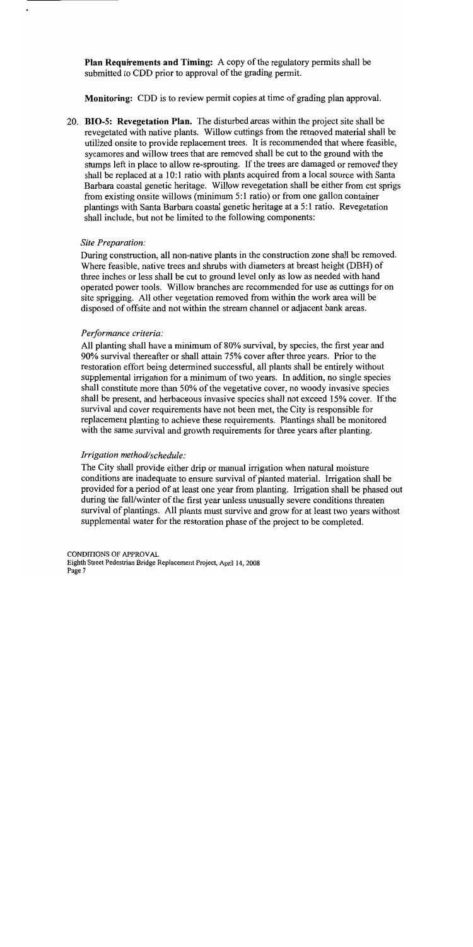Plan Requirements and Timing: A copy of the regulatory permits shall be submitted to CDD prior to approval of the grading permit.

Monitoring: CDD is to review permit copies at time of grading plan approval.

20. BIO-5: Revegetation Plan. The disturbed areas within the project site shall be revegetated with native plants. Willow cuttings from the removed material shall be utilized onsite to provide replacement trees. It is recommended that where feasible, sycamores and willow trees that are removed shall be cut to the ground with the stumps left in place to allow re-sprouting. If the trees are damaged or removed they shall be replaced at a 10:1 ratio with plants acquired from a local source with Santa Barbara coastal genetic heritage. Willow revegetation shall be either from cut sprigs from existing onsite willows (minimum 5:1 ratio) or from one gallon container plantings with Santa Barbara coastal genetic heritage at a 5:1 ratio. Revegetation shall include, but not be limited to the following components:

### Site Preparation:

During construction, all non-native plants in the construction zone shall be removed. Where feasible, native trees and shrubs with diameters at breast height (DBH) of three inches or less shall be cut to ground level only as low as needed with hand operated power tools. Willow branches are recommended for use as cuttings for on site sprigging. All other vegetation removed from within the work area will be disposed of offsite and not within the stream channel or adjacent bank areas.

### Performance criteria:

All planting shall have a minimum of 80% survival, by species, the first year and 90% survival thereafter or shall attain 75% cover after three years. Prior to the restoration effort being determined successful, all plants shall be entirely without supplemental irrigation for a minimum of two years. In addition, no single species shall constitute more than 50% of the vegetative cover, no woody invasive species shall be present, and herbaceous invasive species shall not exceed 15% cover. If the survival and cover requirements have not been met, the City is responsible for replacement planting to achieve these requirements. Plantings shall be monitored with the same survival and growth requirements for three years after planting.

### Irrigation method/schedule:

The City shall provide either drip or manual irrigation when natural moisture conditions are inadequate to ensure survival of planted material. Irrigation shall be provided for a period of at least one year from planting. Irrigation shall be phased out during the fall/winter of the first year unless unusually severe conditions threaten survival of plantings. All plants must survive and grow for at least two years without supplemental water for the restoration phase of the project to be completed.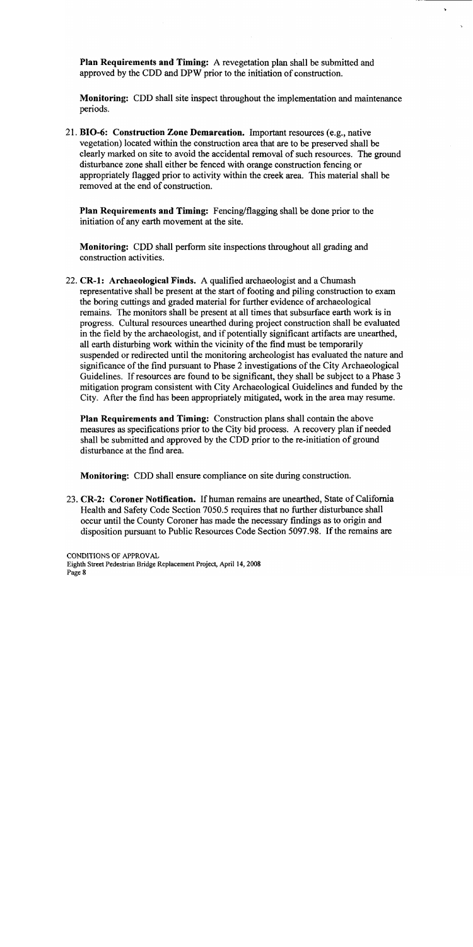**Plan Requirements and Timing:** A revegetation plan shall be submitted and approved by the CDD and DPW prior to the initiation of construction.

Monitoring: CDD shall site inspect throughout the implementation and maintenance periods.

21. BIO-6: Construction Zone Demarcation. Important resources (e.g., native vegetation) located within the construction area that are to be preserved shall be clearly marked on site to avoid the accidental removal of such resources. The ground disturbance zone shall either be fenced with orange construction fencing or appropriately flagged prior to activity within the creek area. This material shall be removed at the end of construction.

Plan Requirements and Timing: Fencing/flagging shall be done prior to the initiation of any earth movement at the site.

Monitoring: CDD shall perform site inspections throughout all grading and construction activities.

22. CR-1: Archaeological Finds. A qualified archaeologist and a Chumash representative shall be present at the start of footing and piling construction to exam the boring cuttings and graded material for further evidence of archaeological remains. The monitors shall be present at all times that subsurface earth work is in progress. Cultural resources unearthed during project construction shall be evaluated in the field by the archaeologist, and if potentially significant artifacts are unearthed, all earth disturbing work within the vicinity of the find must be temporarily suspended or redirected until the monitoring archeologist has evaluated the nature and significance of the find pursuant to Phase 2 investigations of the City Archaeological Guidelines. If resources are found to be significant, they shall be subject to a Phase 3 mitigation program consistent with City Archaeological Guidelines and funded by the City. After the find has been appropriately mitigated, work in the area may resume.

Plan Requirements and Timing: Construction plans shall contain the above measures as specifications prior to the City bid process. A recovery plan if needed shall be submitted and approved by the CDD prior to the re-initiation of ground disturbance at the find area.

**Monitoring:** CDD shall ensure compliance on site during construction.

23. CR-2: Coroner Notification. If human remains are unearthed, State of California Health and Safety Code Section 7050.5 requires that no further disturbance shall occur until the County Coroner has made the necessary findings as to origin and disposition pursuant to Public Resources Code Section 5097.98. If the remains are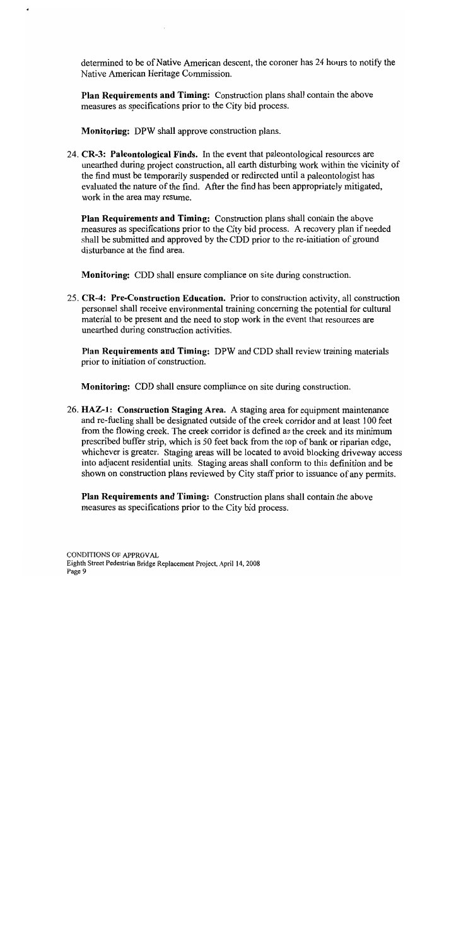determined to be of Native American descent, the coroner has 24 hours to notify the Native American Heritage Commission.

Plan Requirements and Timing: Construction plans shall contain the above measures as specifications prior to the City bid process.

**Monitoring:** DPW shall approve construction plans.

24. CR-3: Paleontological Finds. In the event that paleontological resources are unearthed during project construction, all earth disturbing work within the vicinity of the find must be temporarily suspended or redirected until a paleontologist has evaluated the nature of the find. After the find has been appropriately mitigated, work in the area may resume.

Plan Requirements and Timing: Construction plans shall contain the above measures as specifications prior to the City bid process. A recovery plan if needed shall be submitted and approved by the CDD prior to the re-initiation of ground disturbance at the find area.

Monitoring: CDD shall ensure compliance on site during construction.

25. CR-4: Pre-Construction Education. Prior to construction activity, all construction personnel shall receive environmental training concerning the potential for cultural material to be present and the need to stop work in the event that resources are unearthed during construction activities.

Plan Requirements and Timing: DPW and CDD shall review training materials prior to initiation of construction.

**Monitoring:** CDD shall ensure compliance on site during construction.

26. HAZ-1: Construction Staging Area. A staging area for equipment maintenance and re-fueling shall be designated outside of the creek corridor and at least 100 feet from the flowing creek. The creek corridor is defined as the creek and its minimum prescribed buffer strip, which is 50 feet back from the top of bank or riparian edge, whichever is greater. Staging areas will be located to avoid blocking driveway access into adjacent residential units. Staging areas shall conform to this definition and be shown on construction plans reviewed by City staff prior to issuance of any permits.

**Plan Requirements and Timing:** Construction plans shall contain the above measures as specifications prior to the City bid process.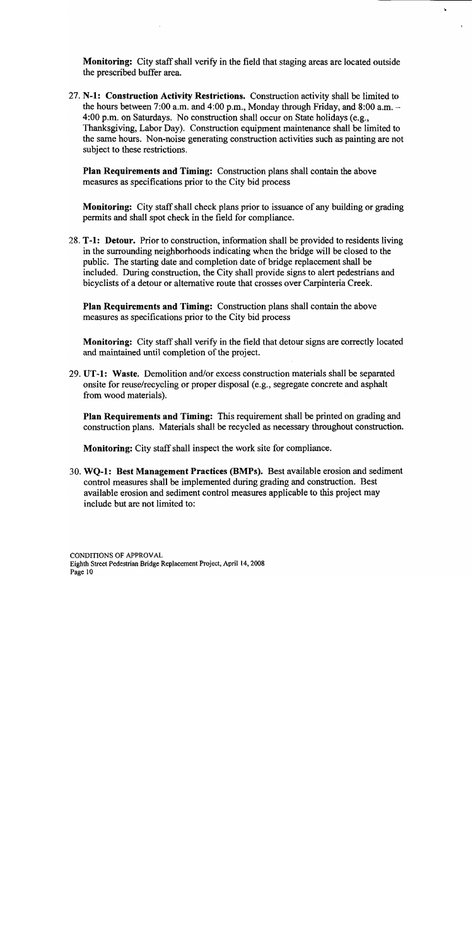**Monitoring:** City staff shall verify in the field that staging areas are located outside the prescribed buffer area.

ż,

27. N-1: Construction Activity Restrictions. Construction activity shall be limited to the hours between 7:00 a.m. and 4:00 p.m., Monday through Friday, and 8:00 a.m.  $-$ 4:00 p.m. on Saturdays. No construction shall occur on State holidays (e.g., Thanksgiving, Labor Day). Construction equipment maintenance shall be limited to the same hours. Non-noise generating construction activities such as painting are not subject to these restrictions.

**Plan Requirements and Timing:** Construction plans shall contain the above measures as specifications prior to the City bid process

**Monitoring:** City staff shall check plans prior to issuance of any building or grading permits and shall spot check in the field for compliance.

28. T-1: Detour. Prior to construction, information shall be provided to residents living in the surrounding neighborhoods indicating when the bridge will be closed to the public. The starting date and completion date of bridge replacement shall be included. During construction, the City shall provide signs to alert pedestrians and bicyclists of a detour or alternative route that crosses over Carpinteria Creek.

Plan Requirements and Timing: Construction plans shall contain the above measures as specifications prior to the City bid process

**Monitoring:** City staff shall verify in the field that detour signs are correctly located and maintained until completion of the project.

29. UT-1: Waste. Demolition and/or excess construction materials shall be separated onsite for reuse/recycling or proper disposal (e.g., segregate concrete and asphalt from wood materials).

Plan Requirements and Timing: This requirement shall be printed on grading and construction plans. Materials shall be recycled as necessary throughout construction.

Monitoring: City staff shall inspect the work site for compliance.

30. WQ-1: Best Management Practices (BMPs). Best available erosion and sediment control measures shall be implemented during grading and construction. Best available erosion and sediment control measures applicable to this project may include but are not limited to: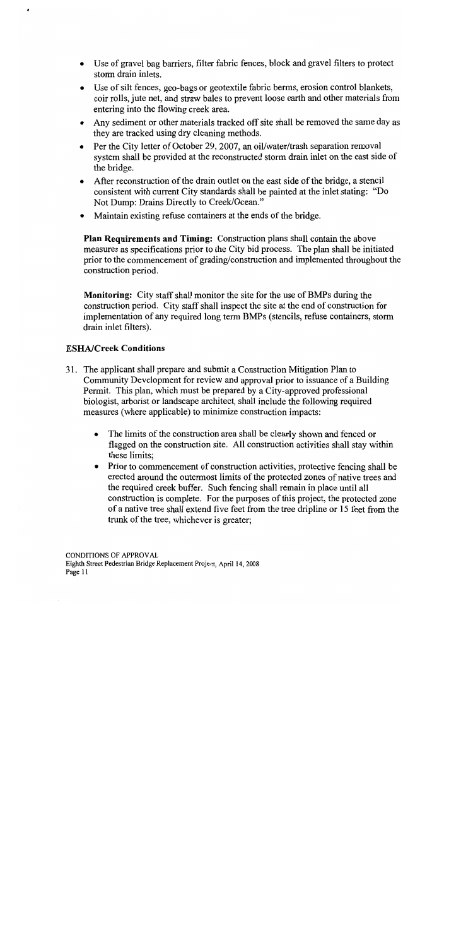- Use of gravel bag barriers, filter fabric fences, block and gravel filters to protect storm drain inlets.
- Use of silt fences, geo-bags or geotextile fabric berms, erosion control blankets, coir rolls, jute net, and straw bales to prevent loose earth and other materials from entering into the flowing creek area.
- Any sediment or other materials tracked off site shall be removed the same day as they are tracked using dry cleaning methods.
- Per the City letter of October 29, 2007, an oil/water/trash separation removal system shall be provided at the reconstructed storm drain inlet on the east side of the bridge.
- After reconstruction of the drain outlet on the east side of the bridge, a stencil  $\bullet$ consistent with current City standards shall be painted at the inlet stating: "Do Not Dump: Drains Directly to Creek/Ocean."
- Maintain existing refuse containers at the ends of the bridge.  $\bullet$

Plan Requirements and Timing: Construction plans shall contain the above measures as specifications prior to the City bid process. The plan shall be initiated prior to the commencement of grading/construction and implemented throughout the construction period.

**Monitoring:** City staff shall monitor the site for the use of BMPs during the construction period. City staff shall inspect the site at the end of construction for implementation of any required long term BMPs (stencils, refuse containers, storm drain inlet filters).

# **ESHA/Creek Conditions**

- 31. The applicant shall prepare and submit a Construction Mitigation Plan to Community Development for review and approval prior to issuance of a Building Permit. This plan, which must be prepared by a City-approved professional biologist, arborist or landscape architect, shall include the following required measures (where applicable) to minimize construction impacts:
	- The limits of the construction area shall be clearly shown and fenced or  $\bullet$ flagged on the construction site. All construction activities shall stay within these limits:
	- Prior to commencement of construction activities, protective fencing shall be  $\bullet$ erected around the outermost limits of the protected zones of native trees and the required creek buffer. Such fencing shall remain in place until all construction is complete. For the purposes of this project, the protected zone of a native tree shall extend five feet from the tree dripline or 15 feet from the trunk of the tree, whichever is greater;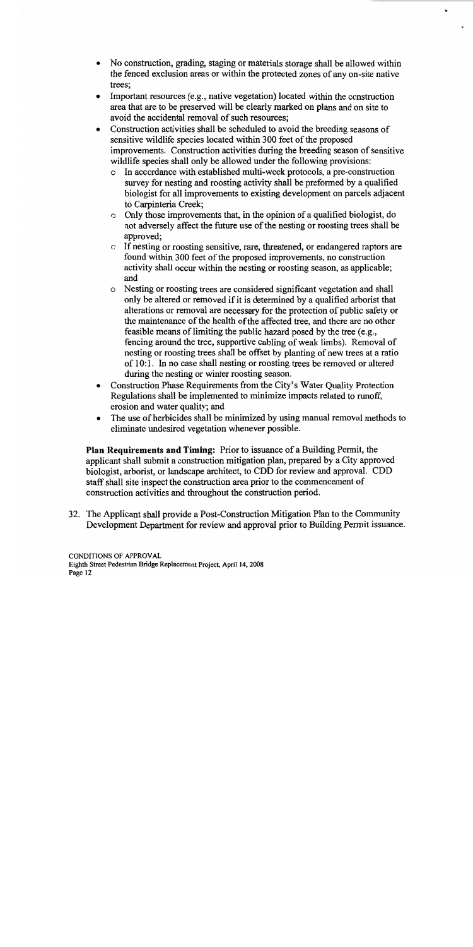- No construction, grading, staging or materials storage shall be allowed within  $\bullet$ the fenced exclusion areas or within the protected zones of any on-site native trees:
- Important resources (e.g., native vegetation) located within the construction area that are to be preserved will be clearly marked on plans and on site to avoid the accidental removal of such resources;
- Construction activities shall be scheduled to avoid the breeding seasons of sensitive wildlife species located within 300 feet of the proposed improvements. Construction activities during the breeding season of sensitive wildlife species shall only be allowed under the following provisions:
	- $\circ$  In accordance with established multi-week protocols, a pre-construction survey for nesting and roosting activity shall be preformed by a qualified biologist for all improvements to existing development on parcels adjacent to Carpinteria Creek;
	- Only those improvements that, in the opinion of a qualified biologist, do  $\circ$ not adversely affect the future use of the nesting or roosting trees shall be approved:
	- If nesting or roosting sensitive, rare, threatened, or endangered raptors are  $\circ$ found within 300 feet of the proposed improvements, no construction activity shall occur within the nesting or roosting season, as applicable; and
	- Nesting or roosting trees are considered significant vegetation and shall  $\circ$ only be altered or removed if it is determined by a qualified arborist that alterations or removal are necessary for the protection of public safety or the maintenance of the health of the affected tree, and there are no other feasible means of limiting the public hazard posed by the tree (e.g., fencing around the tree, supportive cabling of weak limbs). Removal of nesting or roosting trees shall be offset by planting of new trees at a ratio of 10:1. In no case shall nesting or roosting trees be removed or altered during the nesting or winter roosting season.
- Construction Phase Requirements from the City's Water Quality Protection  $\bullet$ Regulations shall be implemented to minimize impacts related to runoff, erosion and water quality; and
- The use of herbicides shall be minimized by using manual removal methods to  $\bullet$ eliminate undesired vegetation whenever possible.

**Plan Requirements and Timing:** Prior to issuance of a Building Permit, the applicant shall submit a construction mitigation plan, prepared by a City approved biologist, arborist, or landscape architect, to CDD for review and approval. CDD staff shall site inspect the construction area prior to the commencement of construction activities and throughout the construction period.

32. The Applicant shall provide a Post-Construction Mitigation Plan to the Community Development Department for review and approval prior to Building Permit issuance.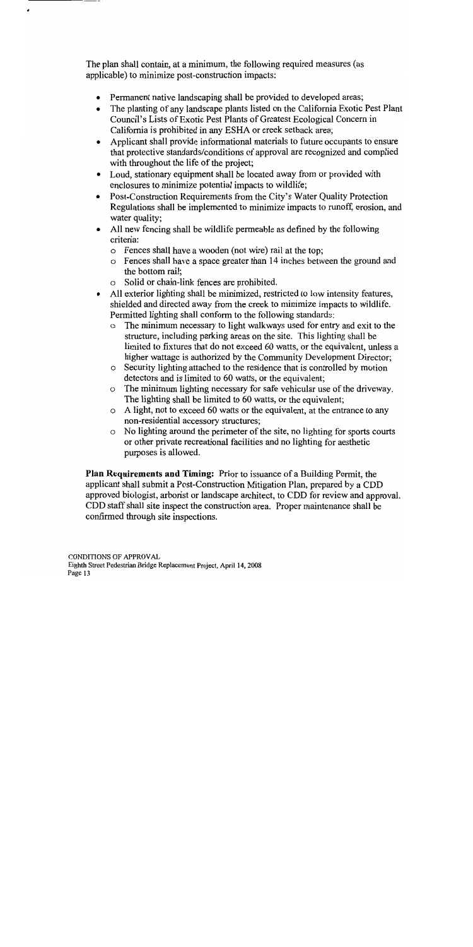The plan shall contain, at a minimum, the following required measures (as applicable) to minimize post-construction impacts:

- Permanent native landscaping shall be provided to developed areas;
- The planting of any landscape plants listed on the California Exotic Pest Plant Council's Lists of Exotic Pest Plants of Greatest Ecological Concern in California is prohibited in any ESHA or creek setback area;
- Applicant shall provide informational materials to future occupants to ensure that protective standards/conditions of approval are recognized and complied with throughout the life of the project;
- Loud, stationary equipment shall be located away from or provided with enclosures to minimize potential impacts to wildlife;
- Post-Construction Requirements from the City's Water Quality Protection Regulations shall be implemented to minimize impacts to runoff, erosion, and water quality;
- All new fencing shall be wildlife permeable as defined by the following criteria:
	- o Fences shall have a wooden (not wire) rail at the top;
	- o Fences shall have a space greater than 14 inches between the ground and the bottom rail:
	- o Solid or chain-link fences are prohibited.
- All exterior lighting shall be minimized, restricted to low intensity features,  $\bullet$ shielded and directed away from the creek to minimize impacts to wildlife. Permitted lighting shall conform to the following standards:
	- The minimum necessary to light walkways used for entry and exit to the  $\Omega$ structure, including parking areas on the site. This lighting shall be limited to fixtures that do not exceed 60 watts, or the equivalent, unless a higher wattage is authorized by the Community Development Director;
	- o Security lighting attached to the residence that is controlled by motion detectors and is limited to 60 watts, or the equivalent;
	- $\circ$  The minimum lighting necessary for safe vehicular use of the driveway. The lighting shall be limited to 60 watts, or the equivalent;
	- o A light, not to exceed 60 watts or the equivalent, at the entrance to any non-residential accessory structures;
	- No lighting around the perimeter of the site, no lighting for sports courts  $\circ$ or other private recreational facilities and no lighting for aesthetic purposes is allowed.

**Plan Requirements and Timing:** Prior to issuance of a Building Permit, the applicant shall submit a Post-Construction Mitigation Plan, prepared by a CDD approved biologist, arborist or landscape architect, to CDD for review and approval. CDD staff shall site inspect the construction area. Proper maintenance shall be confirmed through site inspections.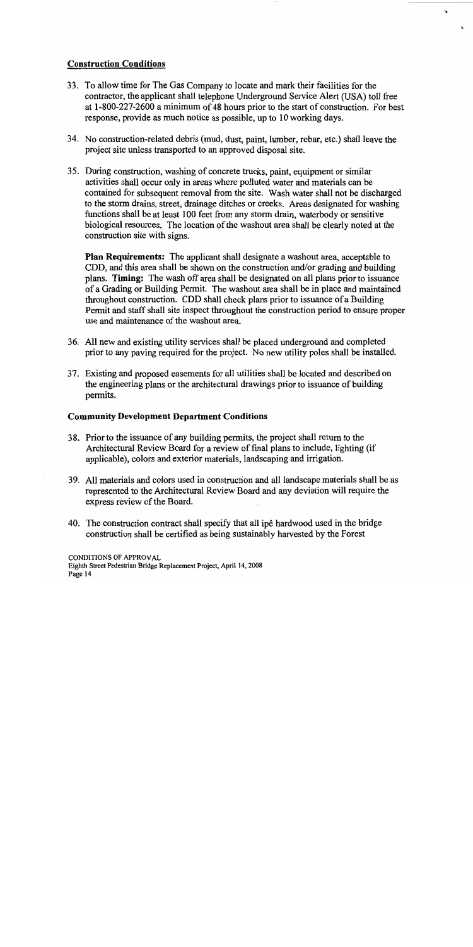# **Construction Conditions**

- 33. To allow time for The Gas Company to locate and mark their facilities for the contractor, the applicant shall telephone Underground Service Alert (USA) toll free at 1-800-227-2600 a minimum of 48 hours prior to the start of construction. For best response, provide as much notice as possible, up to 10 working days.
- 34. No construction-related debris (mud, dust, paint, lumber, rebar, etc.) shall leave the project site unless transported to an approved disposal site.
- 35. During construction, washing of concrete trucks, paint, equipment or similar activities shall occur only in areas where polluted water and materials can be contained for subsequent removal from the site. Wash water shall not be discharged to the storm drains, street, drainage ditches or creeks. Areas designated for washing functions shall be at least 100 feet from any storm drain, waterbody or sensitive biological resources. The location of the washout area shall be clearly noted at the construction site with signs.

**Plan Requirements:** The applicant shall designate a washout area, acceptable to CDD, and this area shall be shown on the construction and/or grading and building plans. Timing: The wash off area shall be designated on all plans prior to issuance of a Grading or Building Permit. The washout area shall be in place and maintained throughout construction. CDD shall check plans prior to issuance of a Building Permit and staff shall site inspect throughout the construction period to ensure proper use and maintenance of the washout area.

- 36. All new and existing utility services shall be placed underground and completed prior to any paving required for the project. No new utility poles shall be installed.
- 37. Existing and proposed easements for all utilities shall be located and described on the engineering plans or the architectural drawings prior to issuance of building permits.

# **Community Development Department Conditions**

- 38. Prior to the issuance of any building permits, the project shall return to the Architectural Review Board for a review of final plans to include, lighting (if applicable), colors and exterior materials, landscaping and irrigation.
- 39. All materials and colors used in construction and all landscape materials shall be as represented to the Architectural Review Board and any deviation will require the express review of the Board.
- 40. The construction contract shall specify that all ipe hardwood used in the bridge construction shall be certified as being sustainably harvested by the Forest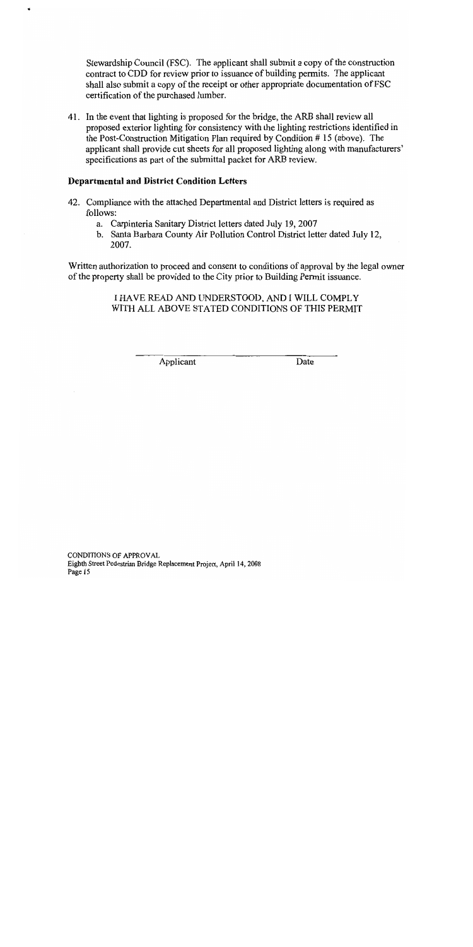Stewardship Council (FSC). The applicant shall submit a copy of the construction contract to CDD for review prior to issuance of building permits. The applicant shall also submit a copy of the receipt or other appropriate documentation of FSC certification of the purchased lumber.

41. In the event that lighting is proposed for the bridge, the ARB shall review all proposed exterior lighting for consistency with the lighting restrictions identified in the Post-Construction Mitigation Plan required by Condition #15 (above). The applicant shall provide cut sheets for all proposed lighting along with manufacturers' specifications as part of the submittal packet for ARB review.

# **Departmental and District Condition Letters**

- 42. Compliance with the attached Departmental and District letters is required as follows:
	- a. Carpinteria Sanitary District letters dated July 19, 2007
	- b. Santa Barbara County Air Pollution Control District letter dated July 12, 2007.

Written authorization to proceed and consent to conditions of approval by the legal owner of the property shall be provided to the City prior to Building Permit issuance.

> I HAVE READ AND UNDERSTOOD, AND I WILL COMPLY WITH ALL ABOVE STATED CONDITIONS OF THIS PERMIT

> > Applicant

Date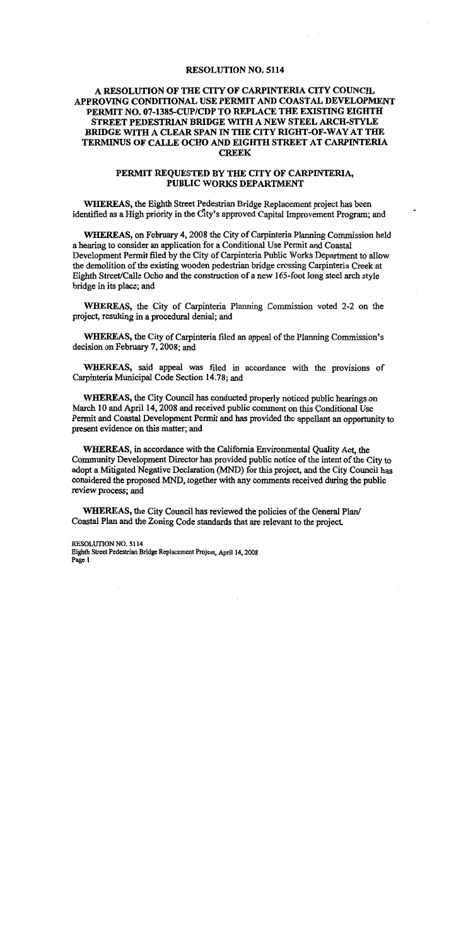### **RESOLUTION NO. 5114**

# A RESOLUTION OF THE CITY OF CARPINTERIA CITY COUNCIL APPROVING CONDITIONAL USE PERMIT AND COASTAL DEVELOPMENT PERMIT NO. 07-1385-CUP/CDP TO REPLACE THE EXISTING EIGHTH STREET PEDESTRIAN BRIDGE WITH A NEW STEEL ARCH-STYLE BRIDGE WITH A CLEAR SPAN IN THE CITY RIGHT-OF-WAY AT THE TERMINUS OF CALLE OCHO AND EIGHTH STREET AT CARPINTERIA **CREEK**

# PERMIT REQUESTED BY THE CITY OF CARPINTERIA, PUBLIC WORKS DEPARTMENT

WHEREAS, the Eighth Street Pedestrian Bridge Replacement project has been identified as a High priority in the City's approved Capital Improvement Program; and

WHEREAS, on February 4, 2008 the City of Carpinteria Planning Commission held a hearing to consider an application for a Conditional Use Permit and Coastal Development Permit filed by the City of Carpinteria Public Works Department to allow the demolition of the existing wooden pedestrian bridge crossing Carpinteria Creek at Eighth Street/Calle Ocho and the construction of a new 165-foot long steel arch style bridge in its place; and

WHEREAS, the City of Carpinteria Planning Commission voted 2-2 on the project, resulting in a procedural denial; and

**WHEREAS, the City of Carpinteria filed an appeal of the Planning Commission's** decision on February 7, 2008; and

WHEREAS, said appeal was filed in accordance with the provisions of Carpinteria Municipal Code Section 14.78; and

WHEREAS, the City Council has conducted properly noticed public hearings on March 10 and April 14, 2008 and received public comment on this Conditional Use Permit and Coastal Development Permit and has provided the appellant an opportunity to present evidence on this matter; and

WHEREAS, in accordance with the California Environmental Ouality Act, the Community Development Director has provided public notice of the intent of the City to adopt a Mitigated Negative Declaration (MND) for this project, and the City Council has considered the proposed MND, together with any comments received during the public review process: and

WHEREAS, the City Council has reviewed the policies of the General Plan/ Coastal Plan and the Zoning Code standards that are relevant to the project.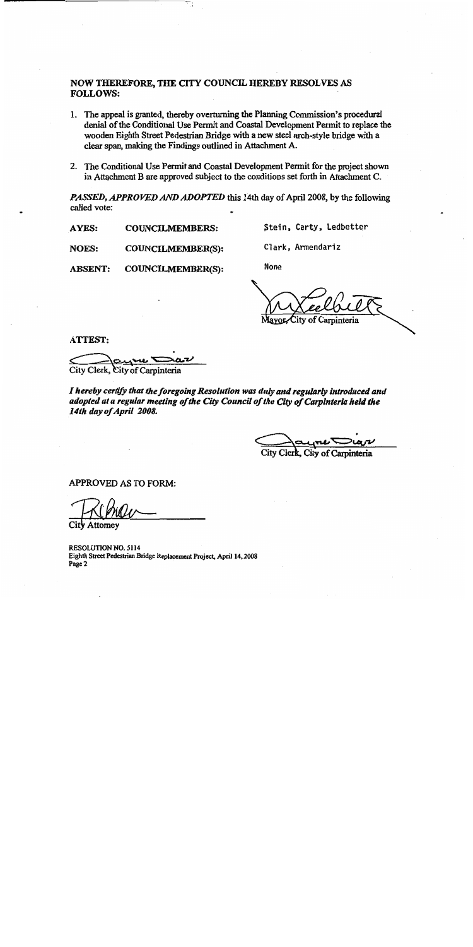# NOW THEREFORE, THE CITY COUNCIL HEREBY RESOLVES AS **FOLLOWS:**

- 1. The appeal is granted, thereby overturning the Planning Commission's procedural denial of the Conditional Use Permit and Coastal Development Permit to replace the wooden Eighth Street Pedestrian Bridge with a new steel arch-style bridge with a clear span, making the Findings outlined in Attachment A.
- 2. The Conditional Use Permit and Coastal Development Permit for the project shown in Attachment B are approved subject to the conditions set forth in Attachment C.

PASSED, APPROVED AND ADOPTED this 14th day of April 2008, by the following called vote:

**AYES: COUNCILMEMBERS:**  Stein, Carty, Ledbetter

Clark, Armendariz

**NOES:** COUNCILMEMBER(S):

**ABSENT: COUNCILMEMBER(S):**  **None** 

ity of Carpinteria

**ATTEST:** 

City Clerk, City of Carpinteria

I hereby certify that the foregoing Resolution was duly and regularly introduced and adopted at a regular meeting of the City Council of the City of Carpinteria held the 14th day of April 2008.

City Clerk. City of Carpinteria

APPROVED AS TO FORM:

Attorney

RESOLUTION NO. 5114 Eighth Street Pedestrian Bridge Replacement Project, April 14, 2008 Page 2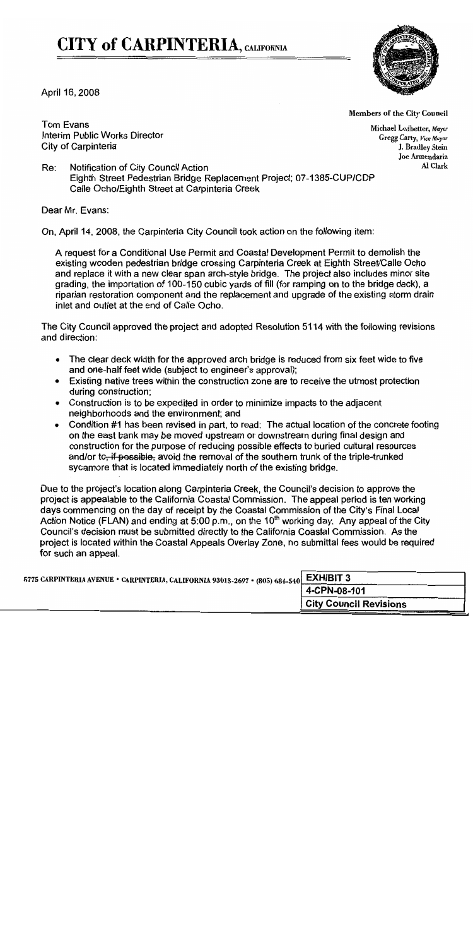# **CITY of CARPINTERIA, CALIFORNIA**



April 16, 2008

Members of the City Council

**Tom Evans** Interim Public Works Director City of Carpinteria

Michael Ledbetter, Mayor Gregg Carty, Vice Mayor J. Bradley Stein Joe Armendariz Al Clark

Re: Notification of City Council Action Eighth Street Pedestrian Bridge Replacement Project; 07-1385-CUP/CDP Calle Ocho/Eighth Street at Carpinteria Creek

Dear Mr. Evans:

On, April 14, 2008, the Carpinteria City Council took action on the following item:

A request for a Conditional Use Permit and Coastal Development Permit to demolish the existing wooden pedestrian bridge crossing Carpinteria Creek at Eighth Street/Calle Ocho and replace it with a new clear span arch-style bridge. The project also includes minor site grading, the importation of 100-150 cubic yards of fill (for ramping on to the bridge deck), a riparian restoration component and the replacement and upgrade of the existing storm drain inlet and outlet at the end of Calle Ocho.

The City Council approved the project and adopted Resolution 5114 with the following revisions and direction:

- The clear deck width for the approved arch bridge is reduced from six feet wide to five and one-half feet wide (subject to engineer's approval);
- Existing native trees within the construction zone are to receive the utmost protection during construction;
- Construction is to be expedited in order to minimize impacts to the adjacent neighborhoods and the environment; and
- Condition #1 has been revised in part, to read: The actual location of the concrete footing  $\bullet$ on the east bank may be moved upstream or downstream during final design and construction for the purpose of reducing possible effects to buried cultural resources and/or to<del>, if possible,</del> avoid the removal of the southern trunk of the triple-trunked sycamore that is located immediately north of the existing bridge.

Due to the project's location along Carpinteria Creek, the Council's decision to approve the project is appealable to the California Coastal Commission. The appeal period is ten working days commencing on the day of receipt by the Coastal Commission of the City's Final Local Action Notice (FLAN) and ending at 5:00 p.m., on the 10<sup>th</sup> working day. Any appeal of the City Council's decision must be submitted directly to the California Coastal Commission. As the project is located within the Coastal Appeals Overlay Zone, no submittal fees would be required for such an appeal.

| 5775 CARPINTERIA AVENUE · CARPINTERIA, CALIFORNIA 93013-2697 · (805) 684-540 EXHIBIT 3 |                               |
|----------------------------------------------------------------------------------------|-------------------------------|
|                                                                                        | 4-CPN-08-101                  |
|                                                                                        | <b>City Council Revisions</b> |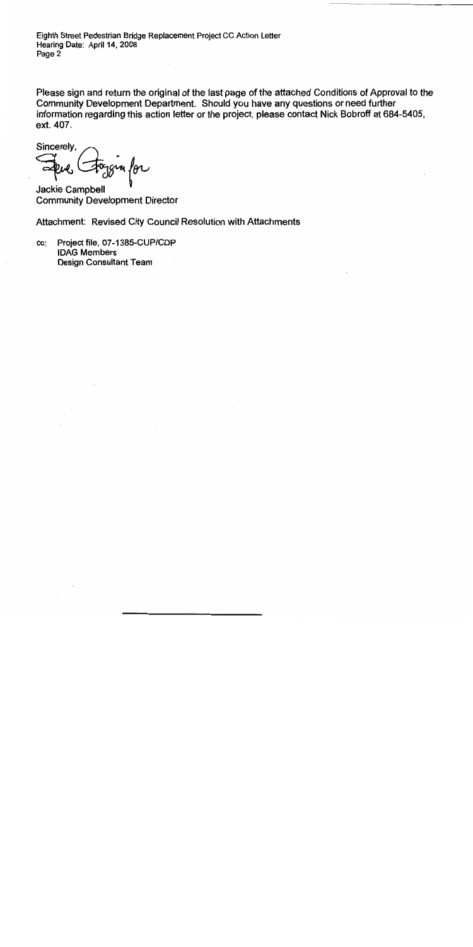Eighth Street Pedestrian Bridge Replacement Project CC Action Letter Hearing Date: April 14, 2008 Page 2

Please sign and return the original of the last page of the attached Conditions of Approval to the Community Development Department. Should you have any questions or need further information regarding this action letter or the project, please contact Nick Bobroff at 684-5405, ext. 407.

Sincerely,  $1846$ 

Jackie Campbell **Community Development Director** 

Attachment: Revised City Council Resolution with Attachments

Project file, 07-1385-CUP/CDP CC: **IDAG Members** Design Consultant Team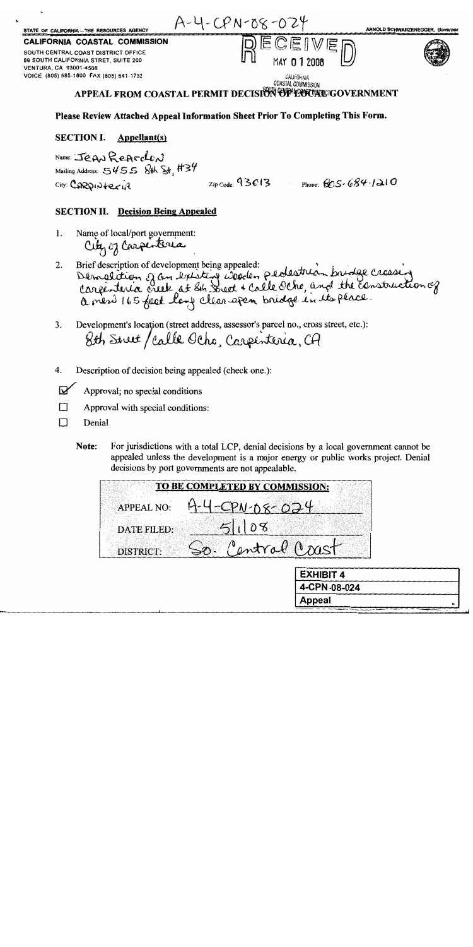| STATE OF CALIFORNIA -- THE RESOURCES AGENCY                                                           | $A - 4 - CPN - 08 - 024$                                                | ARNOLD SCHWARZENEGGER, Governor |
|-------------------------------------------------------------------------------------------------------|-------------------------------------------------------------------------|---------------------------------|
| CALIFORNIA COASTAL COMMISSION                                                                         | <b>Super</b>                                                            |                                 |
| SOUTH CENTRAL COAST DISTRICT OFFICE<br>89 SOUTH CALIFORNIA STRET, SUITE 200<br>VENTURA, CA 93001-4508 | MAY 0 1 2008                                                            |                                 |
| VOICE (805) 585-1800 FAX (805) 641-1732                                                               | CALIFORNIA<br>COASTAL COMMISSION<br>SOUTH CENTRAL CALCRESIAN CONTRACTOR |                                 |

# APPEAL FROM COASTAL PERMIT DECISION OF LOCAL GOVERNMENT

# Please Review Attached Appeal Information Sheet Prior To Completing This Form.

#### **SECTION I.** Appellant(s)

Name: JEAN REAFCLEN Mailing Address: 5455 8th St. #34  $City: CARDW + Cx1A$ 

 $_{\rm Zin Code}$  93013 Phone:  $695.684.1210$ 

# **SECTION II.** Decision Being Appealed

- Name of local/port government: 1. City of Carpenteria
- Démolition of an existing weeden pedestrian bridge crossing<br>Corporteria creek at sin triet + Calle Ocho, and the construction of<br>a ment 165 feet long clear apen bridge in its place. Brief description of development being appealed: 2.
- Development's location (street address, assessor's parcel no., cross street, etc.): 3. 8th Street/Calle Ocho, Carpenteria, CA
- Description of decision being appealed (check one.): 4.
- $\boldsymbol{\nabla}$ Approval; no special conditions
- Approval with special conditions: П
- $\Box$ Denial
	- Note: For jurisdictions with a total LCP, denial decisions by a local government cannot be appealed unless the development is a major energy or public works project. Denial decisions by port governments are not appealable.

|                    | TO BE COMPLETED BY COMMISSION: |  |               |                  |              |
|--------------------|--------------------------------|--|---------------|------------------|--------------|
| APPEAL NO:         |                                |  | $P N$ -08-024 |                  |              |
| <b>DATE FILED:</b> |                                |  |               |                  |              |
| <b>DISTRICT:</b>   |                                |  | entral Cast   |                  |              |
|                    |                                |  |               | <b>EXHIBIT 4</b> |              |
|                    |                                |  |               |                  | 4-CPN-08-024 |

Appeal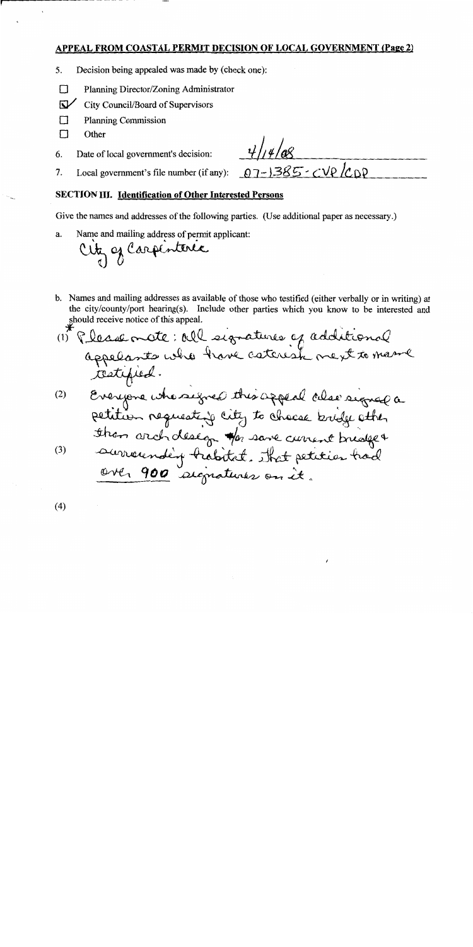# APPEAL FROM COASTAL PERMIT DECISION OF LOCAL GOVERNMENT (Page 2)

- 5. Decision being appealed was made by (check one):
- $\Box$ Planning Director/Zoning Administrator
- $\nabla$ City Council/Board of Supervisors
- $\Box$ **Planning Commission**
- П Other
- Date of local government's decision: 6.

7. Local government's file number (if any):

 $-1385-cVp/CDP$ 

# **SECTION III.** Identification of Other Interested Persons

Give the names and addresses of the following parties. (Use additional paper as necessary.)

Name and mailing address of permit applicant: a.

City of Carpenteria

b. Names and mailing addresses as available of those who testified (either verbally or in writing) at the city/county/port hearing(s). Include other parties which you know to be interested and should receive notice of this appeal.

 $(4)$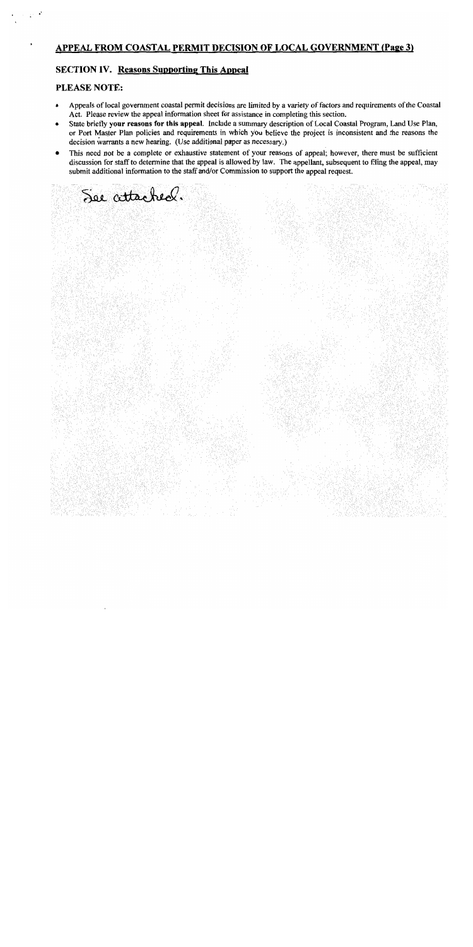# **APPEAL FROM COASTAL PERMIT DECISION OF LOCAL GOVERNMENT (Page 3)**

# **SECTION IV.** Reasons Supporting This Appeal

See attached.

# PLEASE NOTE:

- Appeals of local government coastal permit decisions are limited by a variety of factors and requirements of the Coastal Act. Please review the appeal information sheet for assistance in completing this section.
- State briefly your reasons for this appeal. Include a summary description of Local Coastal Program, Land Use Plan, or Port Master Plan policies and requirements in which you believe the project is inconsistent and the reasons the decision warrants a new hearing. (Use additional paper as necessary.)
- This need not be a complete or exhaustive statement of your reasons of appeal; however, there must be sufficient discussion for staff to determine that the appeal is allowed by law. The appellant, subsequent to filing the appeal, may submit additional information to the staff and/or Commission to support the appeal request.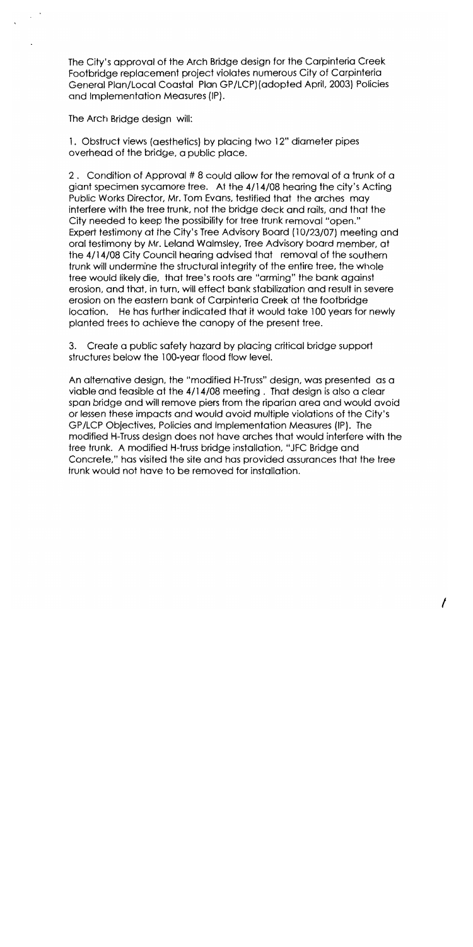The City's approval of the Arch Bridge design for the Carpinteria Creek Footbridge replacement project violates numerous City of Carpinteria General Plan/Local Coastal Plan GP/LCP) (adopted April, 2003) Policies and Implementation Measures (IP).

The Arch Bridge design will:

1. Obstruct views (aesthetics) by placing two 12" diameter pipes overhead of the bridge, a public place.

2. Condition of Approval #8 could allow for the removal of a trunk of a giant specimen sycamore tree. At the 4/14/08 hearing the city's Acting Public Works Director, Mr. Tom Evans, testified that the arches may interfere with the tree trunk, not the bridge deck and rails, and that the City needed to keep the possibility for tree trunk removal "open." Expert testimony at the City's Tree Advisory Board (10/23/07) meeting and oral testimony by Mr. Leland Walmsley, Tree Advisory board member, at the 4/14/08 City Council hearing advised that removal of the southern trunk will undermine the structural integrity of the entire tree, the whole tree would likely die, that tree's roots are "arming" the bank against erosion, and that, in turn, will effect bank stabilization and result in severe erosion on the eastern bank of Carpinteria Creek at the footbridge location. He has further indicated that it would take 100 years for newly planted trees to achieve the canopy of the present tree.

3. Create a public safety hazard by placing critical bridge support structures below the 100-year flood flow level.

An alternative design, the "modified H-Truss" design, was presented as a viable and feasible at the 4/14/08 meeting. That design is also a clear span bridge and will remove piers from the riparian area and would avoid or lessen these impacts and would avoid multiple violations of the City's GP/LCP Objectives, Policies and Implementation Measures (IP). The modified H-Truss design does not have arches that would interfere with the tree trunk. A modified H-truss bridge installation, "JFC Bridge and Concrete," has visited the site and has provided assurances that the tree trunk would not have to be removed for installation.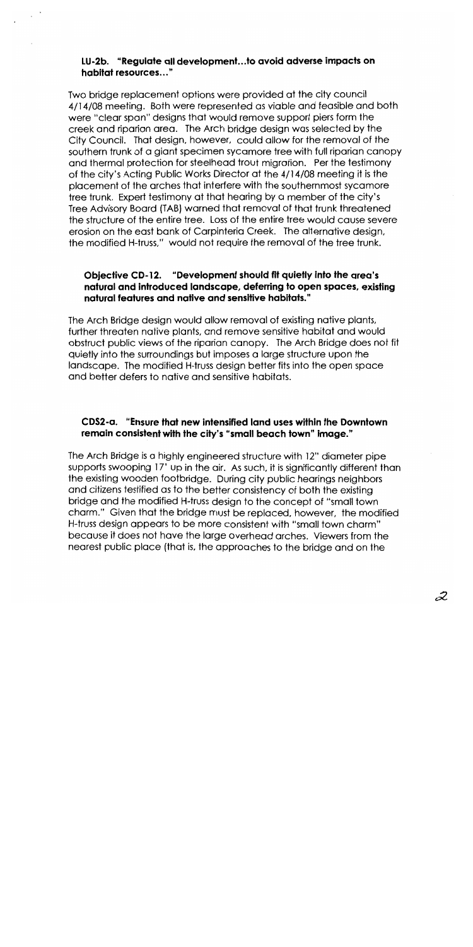# LU-2b. "Requiate all development...to avoid adverse impacts on habitat resources..."

Two bridge replacement options were provided at the city council 4/14/08 meeting. Both were represented as viable and feasible and both were "clear span" designs that would remove support piers form the creek and riparian area. The Arch bridge design was selected by the City Council. That design, however, could allow for the removal of the southern trunk of a giant specimen sycamore tree with full riparian canopy and thermal protection for steelhead trout migration. Per the testimony of the city's Acting Public Works Director at the 4/14/08 meeting it is the placement of the arches that interfere with the southernmost sycamore tree trunk. Expert testimony at that hearing by a member of the city's Tree Advisory Board (TAB) warned that removal of that trunk threatened the structure of the entire tree. Loss of the entire tree would cause severe erosion on the east bank of Carpinteria Creek. The alternative design, the modified H-truss," would not require the removal of the tree trunk.

# Objective CD-12. "Development should fit quietly into the area's natural and introduced landscape, deferring to open spaces, existing natural features and native and sensitive habitats."

The Arch Bridge design would allow removal of existing native plants, further threaten native plants, and remove sensitive habitat and would obstruct public views of the riparian canopy. The Arch Bridge does not fit quietly into the surroundings but imposes a large structure upon the landscape. The modified H-truss design better fits into the open space and better defers to native and sensitive habitats.

# CDS2-a. "Ensure that new intensified land uses within the Downtown remain consistent with the city's "small beach town" image."

The Arch Bridge is a highly engineered structure with 12" diameter pipe supports swooping 17' up in the air. As such, it is significantly different than the existing wooden footbridge. During city public hearings neighbors and citizens testified as to the better consistency of both the existing bridge and the modified H-truss design to the concept of "small town charm." Given that the bridge must be replaced, however, the modified H-truss design appears to be more consistent with "small town charm" because it does not have the large overhead arches. Viewers from the nearest public place (that is, the approaches to the bridge and on the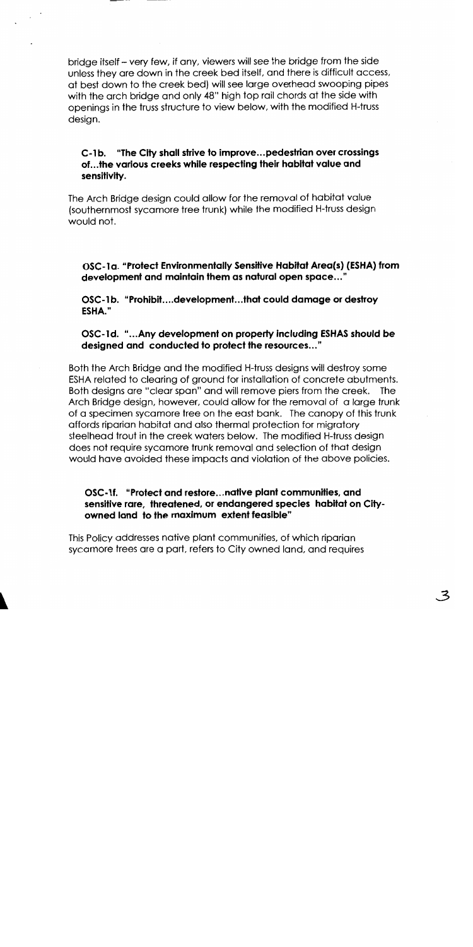bridge itself – very few, if any, viewers will see the bridge from the side unless they are down in the creek bed itself, and there is difficult access, at best down to the creek bed) will see large overhead swooping pipes with the arch bridge and only 48" high top rail chords at the side with openings in the truss structure to view below, with the modified H-truss design.

# C-1b. "The City shall strive to improve...pedestrian over crossings of...the various creeks while respecting their habitat value and sensitivity.

The Arch Bridge design could allow for the removal of habitat value (southernmost sycamore tree trunk) while the modified H-truss design would not.

OSC-1a. "Protect Environmentally Sensitive Habitat Area(s) (ESHA) from development and maintain them as natural open space..."

OSC-1b. "Prohibit....development...that could damage or destroy ESHA."

# OSC-1d. "...Any development on property including ESHAS should be designed and conducted to protect the resources..."

Both the Arch Bridge and the modified H-truss designs will destroy some ESHA related to clearing of ground for installation of concrete abutments. Both designs are "clear span" and will remove piers from the creek. The Arch Bridge design, however, could allow for the removal of a large trunk of a specimen sycamore tree on the east bank. The canopy of this trunk affords riparian habitat and also thermal protection for migratory steelhead trout in the creek waters below. The modified H-truss design does not require sycamore trunk removal and selection of that desian would have avoided these impacts and violation of the above policies.

# OSC-1f. "Protect and restore...native plant communities, and sensitive rare, threatened, or endangered species habitat on Cityowned land to the maximum extent feasible"

This Policy addresses native plant communities, of which riparian sycamore trees are a part, refers to City owned land, and requires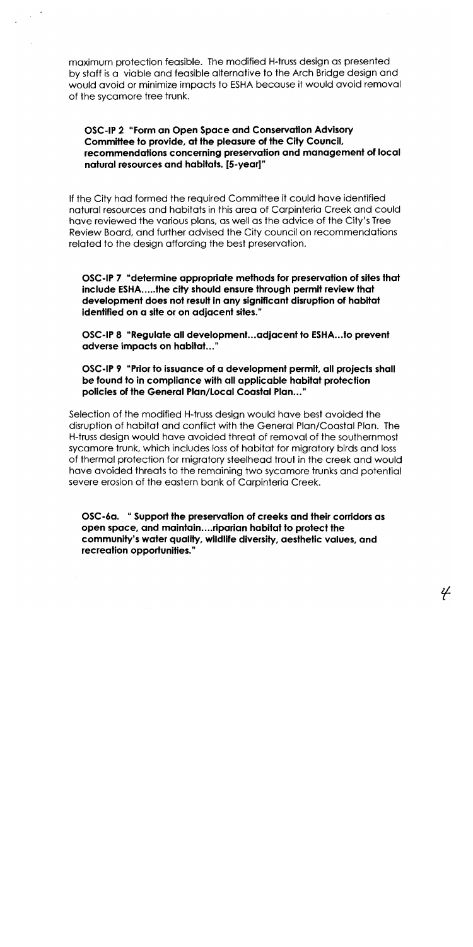maximum protection feasible. The modified H-truss design as presented by staff is a viable and feasible alternative to the Arch Bridge design and would avoid or minimize impacts to ESHA because it would avoid removal of the sycamore tree trunk.

# OSC-IP 2 "Form an Open Space and Conservation Advisory Committee to provide, at the pleasure of the City Council, recommendations concerning preservation and management of local natural resources and habitats. [5-year]"

If the City had formed the required Committee it could have identified natural resources and habitats in this area of Carpinteria Creek and could have reviewed the various plans, as well as the advice of the City's Tree Review Board, and further advised the City council on recommendations related to the design affording the best preservation.

OSC-IP 7 "determine appropriate methods for preservation of sites that include ESHA.....the city should ensure through permit review that development does not result in any significant disruption of habitat identified on a site or on adjacent sites."

OSC-IP 8 "Regulate all development... adjacent to ESHA... to prevent adverse impacts on habitat..."

OSC-IP 9 "Prior to issuance of a development permit, all projects shall be found to in compliance with all applicable habitat protection policies of the General Plan/Local Coastal Plan..."

Selection of the modified H-truss design would have best avoided the disruption of habitat and conflict with the General Plan/Coastal Plan. The H-truss design would have avoided threat of removal of the southernmost sycamore trunk, which includes loss of habitat for migratory birds and loss of thermal protection for migratory steelhead trout in the creek and would have avoided threats to the remaining two sycamore trunks and potential severe erosion of the eastern bank of Carpinteria Creek.

OSC-6a. "Support the preservation of creeks and their corridors as open space, and maintain....riparian habitat to protect the community's water quality, wildlife diversity, aesthetic values, and recreation opportunities."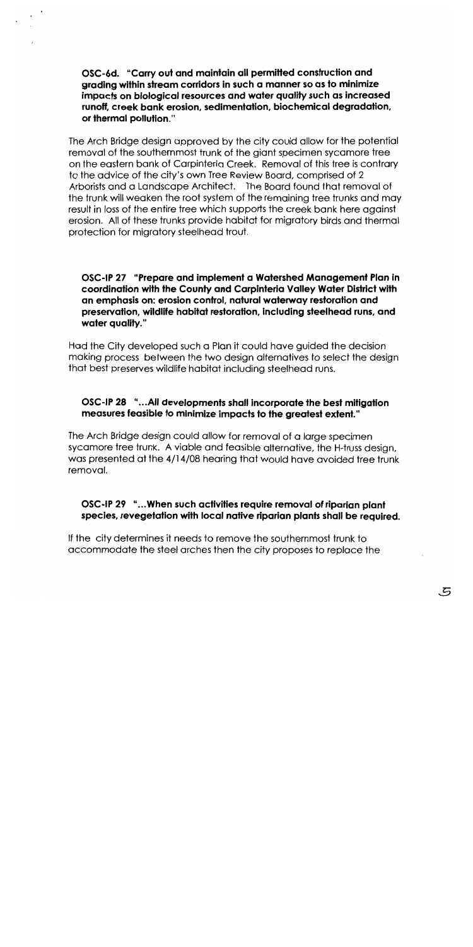OSC-6d. "Carry out and maintain all permitted construction and grading within stream corridors in such a manner so as to minimize impacts on biological resources and water quality such as increased runoff, creek bank erosion, sedimentation, biochemical degradation, or thermal pollution."

The Arch Bridge design approved by the city could allow for the potential removal of the southernmost trunk of the giant specimen sycamore tree on the eastern bank of Carpinteria Creek. Removal of this tree is contrary to the advice of the city's own Tree Review Board, comprised of 2 Arborists and a Landscape Architect. The Board found that removal of the trunk will weaken the root system of the remaining tree trunks and may result in loss of the entire tree which supports the creek bank here against erosion. All of these trunks provide habitat for migratory birds and thermal protection for migratory steelhead trout.

OSC-IP 27 "Prepare and implement a Watershed Management Plan in coordination with the County and Carpinteria Valley Water District with an emphasis on: erosion control, natural waterway restoration and preservation, wildlife habitat restoration, including steelhead runs, and water quality."

Had the City developed such a Plan it could have auided the decision making process between the two design alternatives to select the design that best preserves wildlife habitat including steelhead runs.

# OSC-IP 28 "...All developments shall incorporate the best mitigation measures feasible to minimize impacts to the greatest extent."

The Arch Bridge design could allow for removal of a large specimen sycamore tree trunk. A viable and feasible alternative, the H-truss design, was presented at the 4/14/08 hearing that would have avoided tree trunk removal.

# OSC-IP 29 "...When such activities require removal of riparian plant species, revegetation with local native riparian plants shall be reauired.

If the city determines it needs to remove the southernmost trunk to accommodate the steel arches then the city proposes to replace the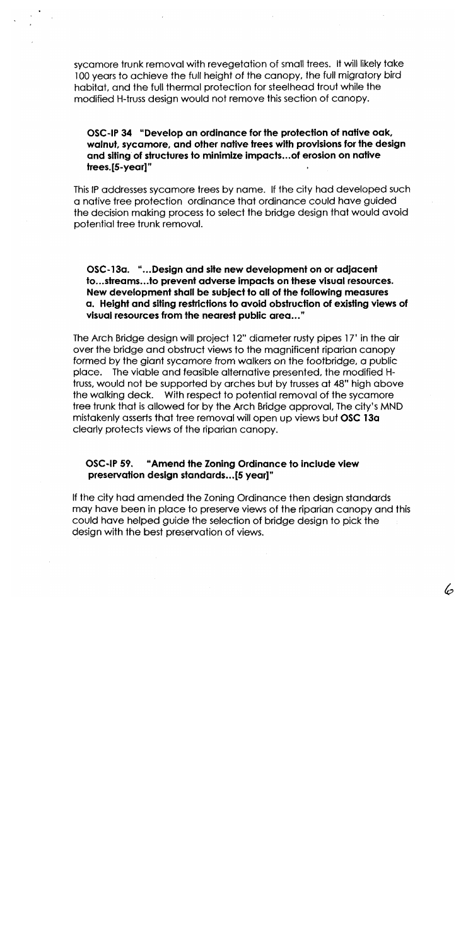sycamore frunk removal with revegetation of small trees. It will likely take 100 years to achieve the full height of the canopy, the full migratory bird habitat, and the full thermal protection for steelhead trout while the modified H-truss design would not remove this section of canopy.

# OSC-IP 34 "Develop an ordinance for the protection of native oak, walnut, sycamore, and other native trees with provisions for the design and siting of structures to minimize impacts... of erosion on native trees.[5-year]"

This IP addresses sycamore trees by name. If the city had developed such a native tree protection ordinance that ordinance could have guided the decision making process to select the bridge design that would avoid potential tree trunk removal.

OSC-13a. "...Design and site new development on or adjacent to...streams...to prevent adverse impacts on these visual resources. New development shall be subject to all of the following measures a. Height and siting restrictions to avoid obstruction of existing views of visual resources from the nearest public area..."

The Arch Bridge design will project 12" diameter rusty pipes 17' in the air over the bridge and obstruct views to the magnificent riparian canopy formed by the giant sycamore from walkers on the footbridge, a public place. The viable and feasible alternative presented, the modified Htruss, would not be supported by arches but by trusses at 48" high above the walking deck. With respect to potential removal of the sycamore tree trunk that is allowed for by the Arch Bridge approval, The city's MND mistakenly asserts that tree removal will open up views but OSC 13a clearly protects views of the riparian canopy.

#### **OSC-IP 59.** "Amend the Zoning Ordinance to include view preservation design standards...[5 year]"

If the city had amended the Zoning Ordinance then design standards may have been in place to preserve views of the riparian canopy and this could have helped guide the selection of bridge design to pick the design with the best preservation of views.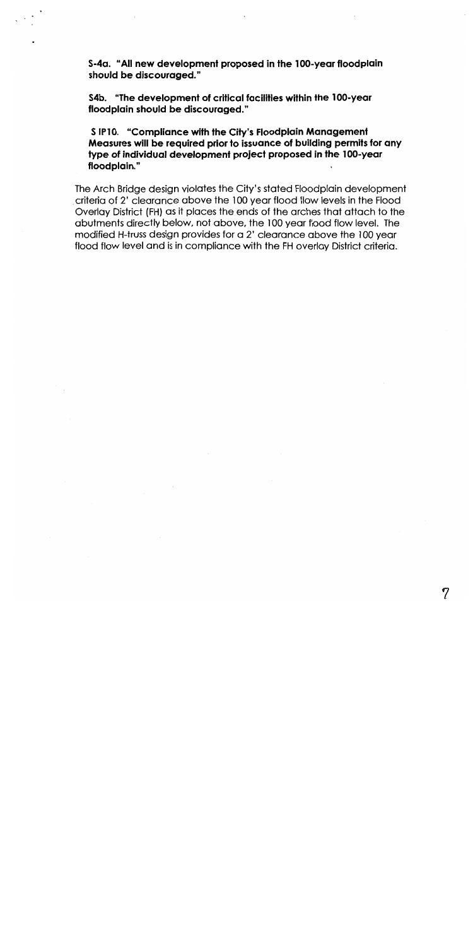S-4a. "All new development proposed in the 100-year floodplain should be discouraged."

S4b. "The development of critical facilities within the 100-year floodplain should be discouraged."

S IP10. "Compliance with the City's Floodplain Management Measures will be required prior to issuance of building permits for any type of individual development project proposed in the 100-year floodplain."

The Arch Bridge design violates the City's stated Floodplain development criteria of 2' clearance above the 100 year flood flow levels in the Flood Overlay District (FH) as it places the ends of the arches that attach to the abutments directly below, not above, the 100 year flood flow level. The modified H-truss design provides for a 2' clearance above the 100 year flood flow level and is in compliance with the FH overlay District criteria.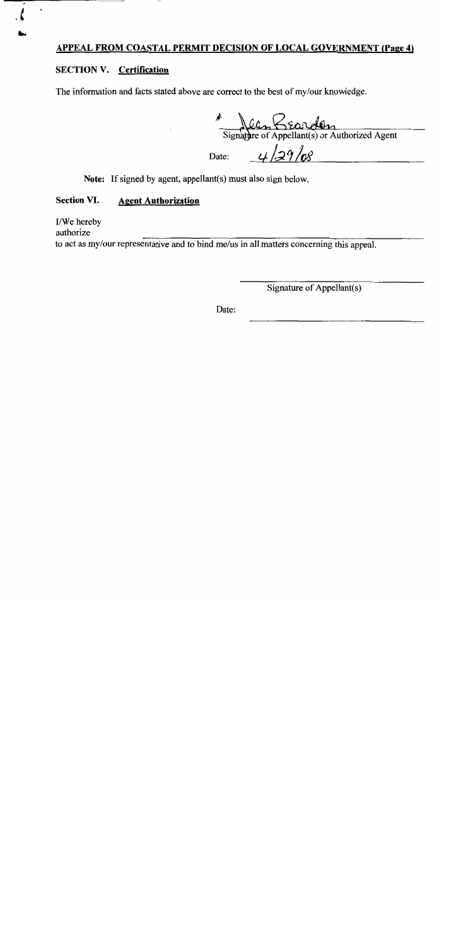# APPEAL FROM COASTAL PERMIT DECISION OF LOCAL GOVERNMENT (Page 4)

# **SECTION V. Certification**

The information and facts stated above are correct to the best of my/our knowledge.

Signature of Appellant(s) or Authorized Agent

Date:

 $4/29/08$ 

Note: If signed by agent, appellant(s) must also sign below.

#### **Section VI. Agent Authorization**

I/We hereby

authorize

to act as my/our representative and to bind me/us in all matters concerning this appeal.

Signature of Appellant(s)

Date: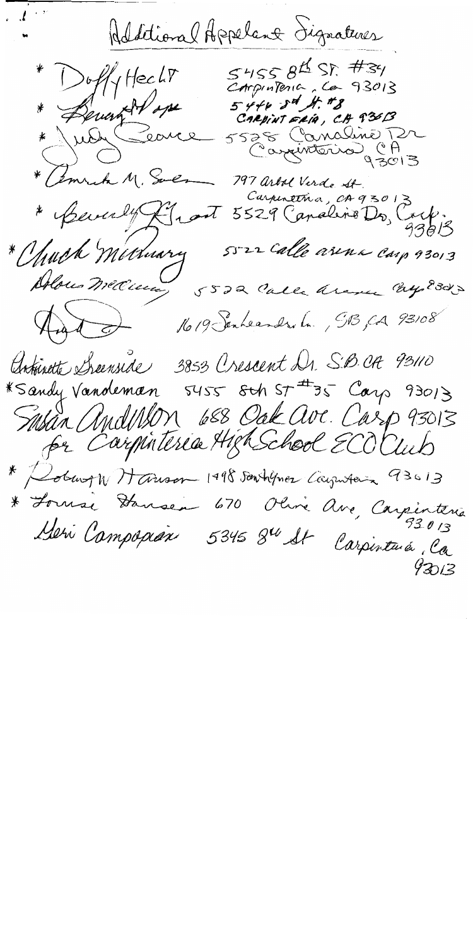Additional Appelant Signatures  $545584557777$ \* DuffyHecht Carpintenia, Ca 93013 \* Lemont d'one  $544634$  H. #8 CARPINTERIA, CA 93613 5528 Canaline Pr<br>Cazenterio CA \* amrich M. Soes 797 arbol Verde St. Carpinetria, CA93013 Carpentina, et 100, Corp. \* Beverly Front 5522 Calle arena carp 93013 \* Chuck Michnary Alons medicines 5522 Calle arme Englands Aut de 19 Senheamdre La , 913, 04 93108 Antivité Sienside 3853 Crescent Dr. S.B. OR 93110<br>\* Sandy Vandeman 5455 8th ST #35 Carp 93013 Sasan Andulson 688 Oak ave. Carp 93013 \* Robert W Harson 1998 Santigues Caymters 93613 \* Fornse Stansen 670 Olive Ave, Carpinterie Meri Campopian 5345 8<sup>4</sup> St Carpintura, Ca  $93013$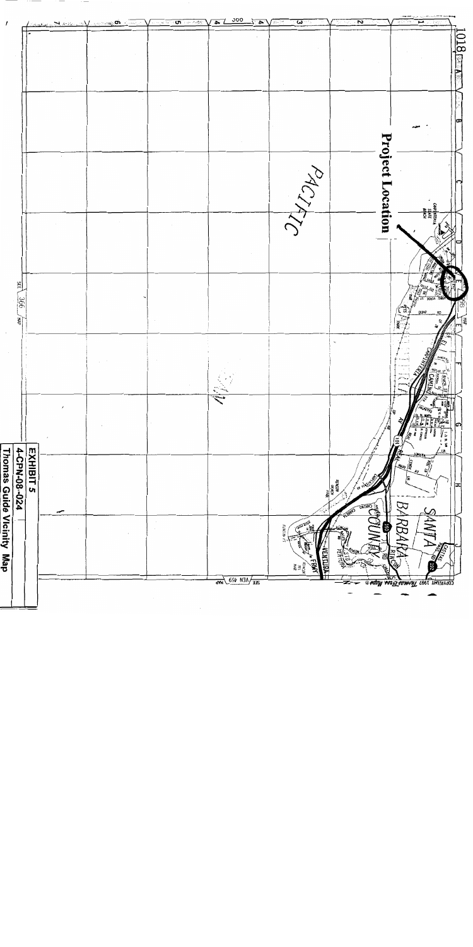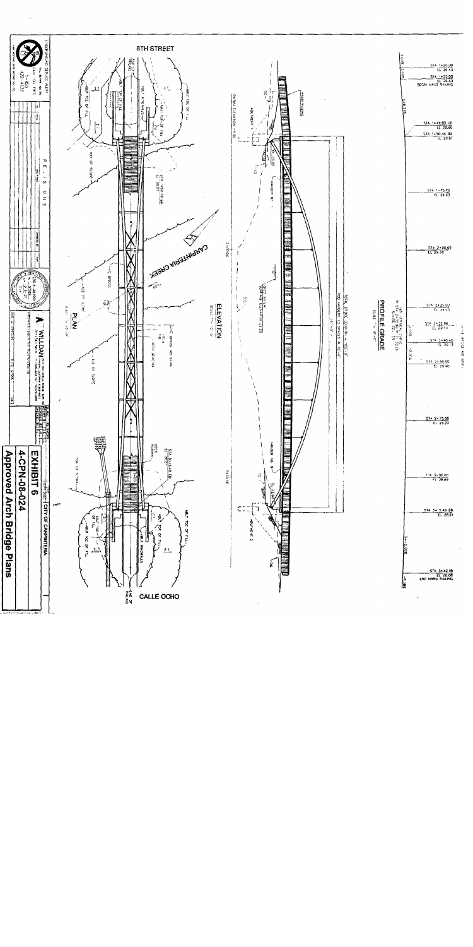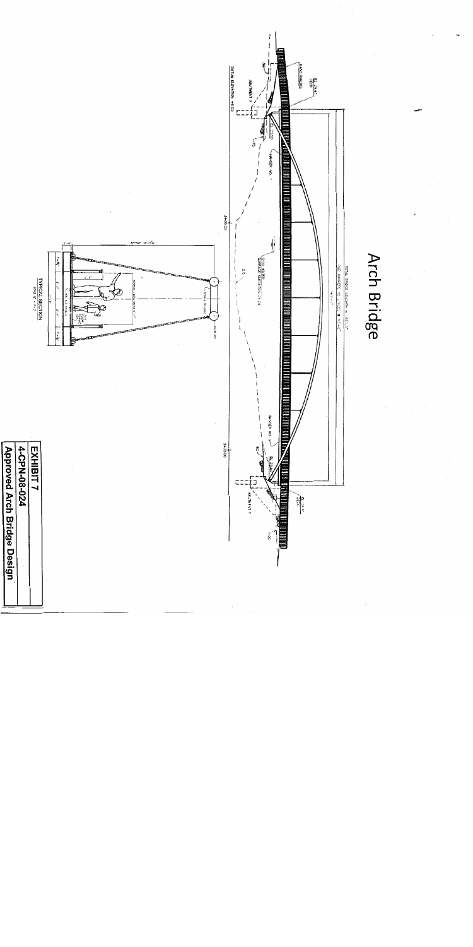